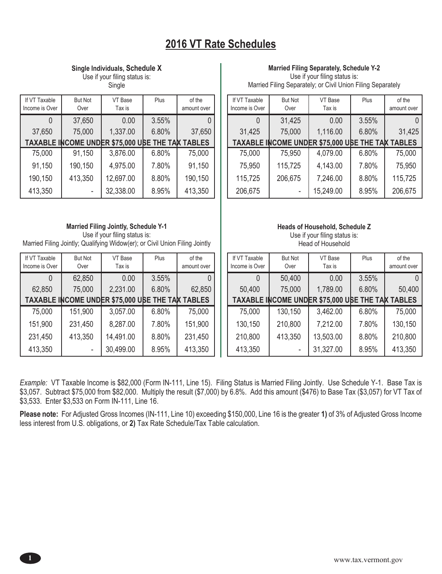## **2016 VT Rate Schedules**

**Single Individuals, Schedule X**

Use if your filing status is: Single

| If VT Taxable<br>Income is Over | <b>But Not</b><br>Over | VT Base<br>Tax is                                | Plus  | of the<br>amount over |
|---------------------------------|------------------------|--------------------------------------------------|-------|-----------------------|
|                                 | 37,650                 | 0.00                                             | 3.55% |                       |
| 37,650                          | 75,000                 | 1,337.00                                         | 6.80% | 37,650                |
|                                 |                        | TAXABLE INCOME UNDER \$75,000 USE THE TAX TABLES |       |                       |
| 75,000                          | 91,150                 | 3,876.00                                         | 6.80% | 75,000                |
| 91,150                          | 190,150                | 4,975.00                                         | 7.80% | 91,150                |
| 190,150                         | 413,350                | 12,697.00                                        | 8.80% | 190,150               |
| 413,350                         |                        | 32,338.00                                        | 8.95% | 413,350               |

#### **Married Filing Jointly, Schedule Y-1**

Use if your filing status is: Married Filing Jointly; Qualifying Widow(er); or Civil Union Filing Jointly

| If VT Taxable  | <b>But Not</b> | VT Base                                          | Plus  | of the      |
|----------------|----------------|--------------------------------------------------|-------|-------------|
| Income is Over | Over           | Tax is                                           |       | amount over |
|                | 62,850         | 0.00                                             | 3.55% |             |
| 62,850         | 75,000         | 2,231.00                                         | 6.80% | 62,850      |
|                |                | TAXABLE INCOME UNDER \$75,000 USE THE TAX TABLES |       |             |
| 75,000         | 151,900        | 3,057.00                                         | 6.80% | 75,000      |
| 151,900        | 231,450        | 8,287.00                                         | 7.80% | 151,900     |
| 231,450        | 413,350        | 14,491.00                                        | 8.80% | 231,450     |
| 413,350        |                | 30,499.00                                        | 8.95% | 413,350     |

#### **Married Filing Separately, Schedule Y-2**

Use if your filing status is: Married Filing Separately; or Civil Union Filing Separately

| If VT Taxable<br>Income is Over | <b>But Not</b><br>Over | VT Base<br>Tax is                                | Plus  | of the<br>amount over |
|---------------------------------|------------------------|--------------------------------------------------|-------|-----------------------|
|                                 | 31,425                 | 0.00                                             | 3.55% |                       |
| 31,425                          | 75,000                 | 1,116.00                                         | 6.80% | 31,425                |
|                                 |                        | TAXABLE INCOME UNDER \$75,000 USE THE TAX TABLES |       |                       |
| 75,000                          | 75,950                 | 4,079.00                                         | 6.80% | 75,000                |
| 75,950                          | 115,725                | 4,143.00                                         | 7.80% | 75,950                |
| 115,725                         | 206,675                | 7,246.00                                         | 8.80% | 115,725               |
| 206,675                         |                        | 15,249.00                                        | 8.95% | 206,675               |

### **Heads of Household, Schedule Z**

Use if your filing status is: Head of Household

| If VT Taxable  | <b>But Not</b> | VT Base                                          | Plus  | of the      |
|----------------|----------------|--------------------------------------------------|-------|-------------|
| Income is Over | Over           | Tax is                                           |       | amount over |
|                | 50,400         | 0.00                                             | 3.55% |             |
| 50,400         | 75,000         | 1,789.00                                         | 6.80% | 50,400      |
|                |                | TAXABLE INCOME UNDER \$75,000 USE THE TAX TABLES |       |             |
| 75,000         | 130,150        | 3,462.00                                         | 6.80% | 75,000      |
| 130,150        | 210,800        | 7,212.00                                         | 7.80% | 130,150     |
| 210,800        | 413,350        | 13,503.00                                        | 8.80% | 210,800     |
| 413,350        |                | 31,327.00                                        | 8.95% | 413,350     |

*Example:* VT Taxable Income is \$82,000 (Form IN-111, Line 15). Filing Status is Married Filing Jointly. Use Schedule Y-1. Base Tax is \$3,057. Subtract \$75,000 from \$82,000. Multiply the result (\$7,000) by 6.8%. Add this amount (\$476) to Base Tax (\$3,057) for VT Tax of \$3,533. Enter \$3,533 on Form IN-111, Line 16.

**Please note:** For Adjusted Gross Incomes (IN-111, Line 10) exceeding \$150,000, Line 16 is the greater **1)** of 3% of Adjusted Gross Income less interest from U.S. obligations, or **2)** Tax Rate Schedule/Tax Table calculation.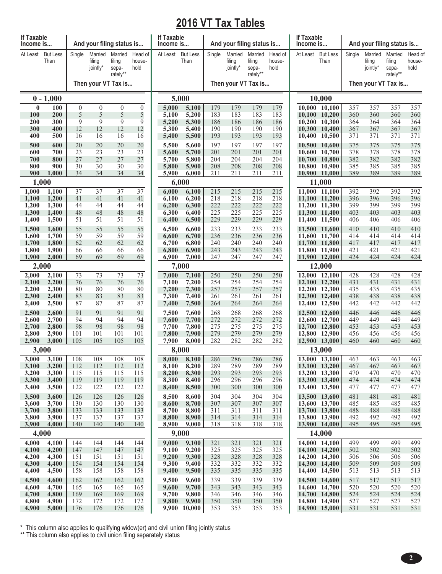# **2016 VT Tax Tables**

| If Taxable<br>Income is |                         |                  | And your filing status is     |                                        |                           | If Taxable<br>Income is |                         |            | And your filing status is     |                                        |                           | If Taxable<br>Income is |                                | And your filing status is |                               |                                        |                           |  |
|-------------------------|-------------------------|------------------|-------------------------------|----------------------------------------|---------------------------|-------------------------|-------------------------|------------|-------------------------------|----------------------------------------|---------------------------|-------------------------|--------------------------------|---------------------------|-------------------------------|----------------------------------------|---------------------------|--|
| At Least                | <b>But Less</b><br>Than | Single           | Married<br>filing<br>jointly* | Married<br>filing<br>sepa-<br>rately** | Head of<br>house-<br>hold | At Least                | <b>But Less</b><br>Than | Single     | Married<br>filing<br>jointly* | Married<br>filing<br>sepa-<br>rately** | Head of<br>house-<br>hold | At Least                | <b>But Less</b><br>Than        | Single                    | Married<br>filing<br>jointly* | Married<br>filing<br>sepa-<br>rately** | Head of<br>house-<br>hold |  |
|                         |                         |                  | Then your VT Tax is           |                                        |                           |                         |                         |            | Then your VT Tax is           |                                        |                           |                         |                                |                           | Then your VT Tax is           |                                        |                           |  |
|                         | $0 - 1,000$             |                  |                               |                                        |                           |                         | 5,000                   |            |                               |                                        |                           |                         | 10,000                         |                           |                               |                                        |                           |  |
| $\bf{0}$                | 100                     | $\boldsymbol{0}$ | $\overline{0}$                | $\mathbf{0}$                           | $\boldsymbol{0}$          | 5,000                   | 5,100                   | 179        | 179                           | 179                                    | 179                       |                         | 10,000 10,100                  | 357                       | 357                           | 357                                    | 357                       |  |
| 100<br>200              | 200<br>300              | 5<br>9           | 5<br>9                        | 5<br>9                                 | 5<br>9                    | 5,100<br>5,200          | 5,200<br>5,300          | 183<br>186 | 183<br>186                    | 183<br>186                             | 183<br>186                | 10,200                  | 10,100 10,200<br>10,300        | 360<br>364                | 360<br>364                    | 360<br>364                             | 360<br>364                |  |
| 300                     | 400                     | 12               | 12                            | 12                                     | 12                        | 5,300                   | 5,400                   | 190        | 190                           | 190                                    | 190                       | 10,300                  | 10,400                         | 367                       | 367                           | 367                                    | 367                       |  |
| 400                     | 500                     | 16               | 16                            | 16                                     | 16                        | 5,400                   | 5,500                   | 193        | 193                           | 193                                    | 193                       |                         | 10,400 10,500                  | 371                       | 371                           | 371                                    | 371                       |  |
| 500                     | 600                     | 20               | 20                            | 20                                     | 20                        | 5,500                   | 5,600                   | 197        | 197                           | 197                                    | 197                       |                         | 10,500 10,600                  | 375                       | 375                           | 375                                    | 375                       |  |
| 600                     | 700                     | 23<br>27         | 23<br>27                      | 23<br>27                               | 23                        | 5,600                   | 5,700                   | 201<br>204 | 201                           | 201                                    | 201                       |                         | 10,600 10,700                  | 378                       | 378                           | 378                                    | 378                       |  |
| 700<br>800              | 800<br>900              | 30               | 30                            | 30                                     | 27<br>30                  | 5,700<br>5,800          | 5,800<br>5,900          | 208        | 204<br>208                    | 204<br>208                             | 204<br>208                | 10,700                  | 10,800<br>10,800 10,900        | 382<br>385                | 382<br>385                    | 382<br>385                             | 382<br>385                |  |
| 900                     | 1,000                   | 34               | 34                            | 34                                     | 34                        | 5,900                   | 6,000                   | 211        | 211                           | 211                                    | 211                       |                         | 10,900 11,000                  | 389                       | 389                           | 389                                    | 389                       |  |
|                         | 1,000                   |                  |                               |                                        |                           |                         | 6,000                   |            |                               |                                        |                           |                         | 11,000                         |                           |                               |                                        |                           |  |
| 1,000                   | 1,100                   | 37               | $\overline{37}$               | $\overline{37}$                        | 37                        | 6,000                   | 6,100                   | 215        | 215                           | 215                                    | 215                       |                         | 11,000 11,100                  | 392                       | 392                           | 392                                    | 392                       |  |
| 1,100<br>1,200          | 1,200<br>1,300          | 41<br>44         | 41<br>44                      | 41<br>44                               | 41<br>44                  | 6,100<br>6,200          | 6,200<br>6,300          | 218<br>222 | 218<br>222                    | 218<br>222                             | 218<br>222                |                         | 11,100 11,200<br>11,200 11,300 | 396<br>399                | 396<br>399                    | 396<br>399                             | 396<br>399                |  |
| 1,300                   | 1,400                   | 48               | 48                            | 48                                     | 48                        | 6,300                   | 6,400                   | 225        | 225                           | 225                                    | 225                       |                         | 11,300 11,400                  | 403                       | 403                           | 403                                    | 403                       |  |
| 1,400                   | 1,500                   | 51               | 51                            | 51                                     | 51                        | 6,400                   | 6,500                   | 229        | 229                           | 229                                    | 229                       |                         | 11,400 11,500                  | 406                       | 406                           | 406                                    | 406                       |  |
| 1,500                   | 1,600                   | 55               | 55                            | 55                                     | 55                        | 6,500                   | 6,600                   | 233        | 233                           | 233                                    | 233                       |                         | 11,500 11,600                  | 410                       | 410                           | 410                                    | 410                       |  |
| 1,600                   | 1,700                   | 59               | 59                            | 59                                     | 59                        | 6,600                   | 6,700                   | 236        | 236                           | 236                                    | 236                       |                         | 11,600 11,700                  | 414                       | 414                           | 414                                    | 414                       |  |
| 1,700<br>1,800          | 1,800<br>1,900          | 62<br>66         | 62<br>66                      | 62<br>66                               | 62<br>66                  | 6,700<br>6,800          | 6,800<br>6,900          | 240<br>243 | 240<br>243                    | 240<br>243                             | 240<br>243                |                         | 11,700 11,800<br>11,800 11,900 | 417<br>421                | 417<br>421                    | 417<br>421                             | 417<br>421                |  |
| 1,900                   | 2,000                   | 69               | 69                            | 69                                     | 69                        | 6,900                   | 7,000                   | 247        | 247                           | 247                                    | 247                       |                         | 11,900 12,000                  | 424                       | 424                           | 424                                    | 424                       |  |
| 2,000                   |                         |                  |                               |                                        |                           |                         | 7,000                   |            |                               |                                        |                           |                         | 12,000                         |                           |                               |                                        |                           |  |
| 2,000                   | 2,100                   | 73               | 73                            | 73                                     | $\overline{73}$           | 7,000                   | 7,100                   | 250        | 250                           | 250                                    | 250                       |                         | 12,000 12,100                  | 428                       | 428                           | 428                                    | 428                       |  |
| 2,100                   | 2,200                   | 76<br>80         | 76<br>80                      | 76<br>80                               | 76                        | 7,100                   | 7,200                   | 254        | 254                           | 254                                    | 254                       |                         | 12,100 12,200                  | 431<br>435                | 431                           | 431<br>435                             | 431                       |  |
| 2,200<br>2,300          | 2,300<br>2,400          | 83               | 83                            | 83                                     | 80<br>83                  | 7,200<br>7,300          | 7,300<br>7,400          | 257<br>261 | 257<br>261                    | 257<br>261                             | 257<br>261                |                         | 12,200 12,300<br>12,300 12,400 | 438                       | 435<br>438                    | 438                                    | 435<br>438                |  |
| 2,400                   | 2,500                   | 87               | 87                            | 87                                     | 87                        | 7,400                   | 7,500                   | 264        | 264                           | 264                                    | 264                       |                         | 12,400 12,500                  | 442                       | 442                           | 442                                    | 442                       |  |
| 2,500                   | 2,600                   | 91               | 91                            | 91                                     | 91                        | 7,500                   | 7,600                   | 268        | 268                           | 268                                    | 268                       |                         | 12,500 12,600                  | 446                       | 446                           | 446                                    | 446                       |  |
| 2,600                   | 2,700                   | 94               | 94                            | 94                                     | 94                        | 7,600                   | 7,700                   | 272        | 272                           | 272                                    | 272                       |                         | 12,600 12,700                  | 449                       | 449                           | 449                                    | 449                       |  |
| 2,700<br>2,800          | 2,800<br>2,900          | 98<br>101        | 98<br>101                     | 98<br>101                              | 98<br>101                 | 7,700<br>7,800          | 7,800<br>7,900          | 275<br>279 | 275<br>279                    | 275<br>279                             | 275<br>279                |                         | 12,700 12,800<br>12,800 12,900 | 453<br>456                | 453<br>456                    | 453<br>456                             | 453<br>456                |  |
| 2,900                   | 3,000                   | 105              | 105                           | 105                                    | 105                       | 7,900                   | 8,000                   | 282        | 282                           | 282                                    | 282                       |                         | 12,900 13,000                  | 460                       | 460                           | 460                                    | 460                       |  |
|                         | 3,000                   |                  |                               |                                        |                           |                         | 8,000                   |            |                               |                                        |                           |                         | 13,000                         |                           |                               |                                        |                           |  |
| 3,000                   | 3,100                   | 108              | 108                           | 108                                    | 108                       | 8,000                   | 8,100                   | 286        | 286                           | 286                                    | 286                       |                         | 13,000 13,100                  | 463                       | 463                           | 463                                    | 463                       |  |
| 3,100                   | 3,200                   | 112              | 112                           | 112                                    | 112                       | 8,100                   | 8,200                   | 289<br>293 | 289                           | 289                                    | 289                       |                         | 13,100 13,200<br>13,200 13,300 | 467<br>470                | 467                           | 467                                    | 467<br>470                |  |
| 3,200<br>3,300          | 3,300<br>3,400          | 115<br>119       | 115<br>119                    | 115<br>119                             | 115<br>119                | 8,200<br>8,300          | 8,300<br>8,400          | 296        | 293<br>296                    | 293<br>296                             | 293<br>296                |                         | 13,300 13,400                  | 474                       | 470<br>474                    | 470<br>474                             | 474                       |  |
| 3,400                   | 3,500                   | 122              | 122                           | 122                                    | 122                       | 8,400                   | 8,500                   | 300        | 300                           | 300                                    | 300                       |                         | 13,400 13,500                  | 477                       | 477                           | 477                                    | 477                       |  |
| 3,500                   | 3,600                   | 126              | 126                           | 126                                    | 126                       | 8,500                   | 8,600                   | 304        | 304                           | 304                                    | 304                       |                         | 13,500 13,600                  | 481                       | 481                           | 481                                    | 481                       |  |
| 3,600                   | 3,700                   | 130              | 130                           | 130                                    | 130                       | 8,600                   | 8,700                   | 307        | 307                           | 307                                    | 307                       |                         | 13,600 13,700                  | 485                       | 485                           | 485                                    | 485                       |  |
| 3,700<br>3,800          | 3,800<br>3,900          | 133<br>137       | 133<br>137                    | 133<br>137                             | 133<br>137                | 8,700<br>8,800          | 8,800<br>8,900          | 311<br>314 | 311<br>314                    | 311<br>314                             | 311<br>314                |                         | 13,700 13,800<br>13,800 13,900 | 488<br>492                | 488<br>492                    | 488<br>492                             | 488<br>492                |  |
| 3,900                   | 4,000                   | 140              | 140                           | 140                                    | 140                       | 8,900                   | 9,000                   | 318        | 318                           | 318                                    | 318                       |                         | 13,900 14,000                  | 495                       | 495                           | 495                                    | 495                       |  |
|                         | 4,000                   |                  |                               |                                        |                           |                         | 9,000                   |            |                               |                                        |                           |                         | 14,000                         |                           |                               |                                        |                           |  |
| 4,000                   | 4,100                   | 144              | 144                           | 144                                    | 144                       | 9,000                   | 9,100                   | 321        | 321                           | 321                                    | 321                       |                         | 14,000 14,100                  | 499                       | 499                           | 499                                    | 499                       |  |
| 4,100                   | 4,200                   | 147              | 147                           | 147                                    | 147                       | 9,100                   | 9,200                   | 325        | 325                           | 325                                    | 325                       |                         | 14,100 14,200                  | 502                       | 502                           | 502                                    | 502<br>506                |  |
| 4,200<br>4,300          | 4,300<br>4,400          | 151<br>154       | 151<br>154                    | 151<br>154                             | 151<br>154                | 9,200<br>9,300          | 9,300<br>9,400          | 328<br>332 | 328<br>332                    | 328<br>332                             | 328<br>332                |                         | 14,200 14,300<br>14,300 14,400 | 506<br>509                | 506<br>509                    | 506<br>509                             | 509                       |  |
| 4,400                   | 4,500                   | 158              | 158                           | 158                                    | 158                       | 9,400                   | 9,500                   | 335        | 335                           | 335                                    | 335                       |                         | 14,400 14,500                  | 513                       | 513                           | 513                                    | 513                       |  |
| 4,500                   | 4,600                   | 162              | 162                           | 162                                    | 162                       | 9,500                   | 9,600                   | 339        | 339                           | 339                                    | 339                       |                         | 14,500 14,600                  | 517                       | 517                           | 517                                    | 517                       |  |
| 4,600                   | 4,700                   | 165              | 165                           | 165                                    | 165                       | 9,600                   | 9,700                   | 343        | 343                           | 343                                    | 343                       |                         | 14,600 14,700                  | 520                       | 520                           | 520                                    | 520                       |  |
| 4,700<br>4,800          | 4,800<br>4,900          | 169<br>172       | 169<br>172                    | 169<br>172                             | 169<br>172                | 9,700<br>9,800          | 9,800<br>9,900          | 346<br>350 | 346<br>350                    | 346<br>350                             | 346<br>350                |                         | 14,700 14,800<br>14,800 14,900 | 524<br>527                | 524<br>527                    | 524<br>527                             | 524<br>527                |  |
| 4,900                   | 5,000                   | 176              | 176                           | 176                                    | 176                       |                         | 9,900 10,000            | 353        | 353                           | 353                                    | 353                       |                         | 14,900 15,000                  | 531                       | 531                           | 531                                    | 531                       |  |

\* This column also applies to qualifying widow(er) and civil union filing jointly status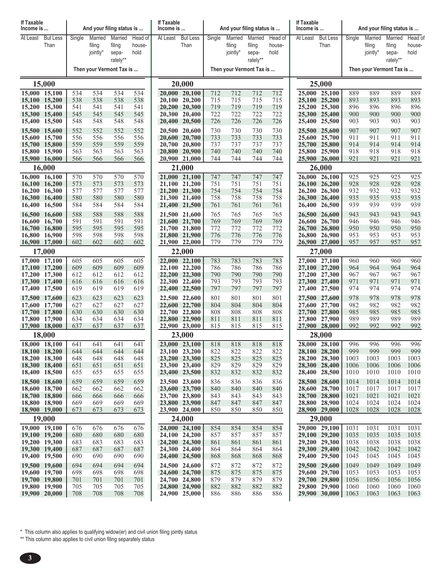| If Taxable<br>Income is        |                         |            |                               | And your filing status is            |                           | If Taxable<br>Income is |                                | And your filing status is |                               |                                      |                           | If Taxable<br>Income is |                                | And your filing status is |                               |                            |                           |  |  |
|--------------------------------|-------------------------|------------|-------------------------------|--------------------------------------|---------------------------|-------------------------|--------------------------------|---------------------------|-------------------------------|--------------------------------------|---------------------------|-------------------------|--------------------------------|---------------------------|-------------------------------|----------------------------|---------------------------|--|--|
| At Least                       | <b>But Less</b><br>Than | Single     | Married<br>filing<br>jointly* | Married<br>filing<br>sepa-           | Head of<br>house-<br>hold | At Least                | <b>But Less</b><br>Than        | Single                    | Married<br>filing<br>jointly* | Married<br>filing<br>sepa-           | Head of<br>house-<br>hold | At Least                | <b>But Less</b><br>Than        | Single                    | Married<br>filing<br>jointly* | Married<br>filing<br>sepa- | Head of<br>house-<br>hold |  |  |
|                                |                         |            |                               | rately**<br>Then your Vermont Tax is |                           |                         |                                |                           |                               | rately**<br>Then your Vermont Tax is |                           |                         |                                |                           | Then your Vermont Tax is      | rately**                   |                           |  |  |
|                                | 15,000                  |            |                               |                                      |                           |                         | 20,000                         |                           |                               |                                      |                           |                         | 25,000                         |                           |                               |                            |                           |  |  |
| 15,000 15,100                  |                         | 534        | 534                           | 534                                  | 534                       |                         | 20,000 20,100                  | 712                       | 712                           | 712                                  | 712                       |                         | 25,000 25,100                  | 889                       | 889                           | 889                        | 889                       |  |  |
| 15,100 15,200                  |                         | 538        | 538                           | 538                                  | 538                       |                         | 20,100 20,200                  | 715                       | 715                           | 715                                  | 715                       |                         | 25,100 25,200                  | 893                       | 893                           | 893                        | 893                       |  |  |
| 15,200 15,300<br>15,300 15,400 |                         | 541<br>545 | 541<br>545                    | 541<br>545                           | 541<br>545                |                         | 20,200 20,300<br>20,300 20,400 | 719<br>722                | 719<br>722                    | 719<br>722                           | 719<br>722                |                         | 25,200 25,300<br>25,300 25,400 | 896<br>900                | 896<br>900                    | 896<br>900                 | 896<br>900                |  |  |
| 15,400 15,500                  |                         | 548        | 548                           | 548                                  | 548                       |                         | 20,400 20,500                  | 726                       | 726                           | 726                                  | 726                       |                         | 25,400 25,500                  | 903                       | 903                           | 903                        | 903                       |  |  |
| 15,500 15,600                  |                         | 552        | 552                           | 552                                  | 552                       |                         | 20,500 20,600                  | 730                       | 730                           | 730                                  | 730                       |                         | 25,500 25,600                  | 907                       | 907                           | 907                        | 907                       |  |  |
| 15,600 15,700                  |                         | 556        | 556                           | 556                                  | 556                       |                         | 20,600 20,700                  | 733                       | 733                           | 733                                  | 733                       |                         | 25,600 25,700<br>25,700 25,800 | 911                       | 911                           | 911                        | 911                       |  |  |
| 15,700 15,800<br>15,800 15,900 |                         | 559<br>563 | 559<br>563                    | 559<br>563                           | 559<br>563                |                         | 20,700 20,800<br>20,800 20,900 | 737<br>740                | 737<br>740                    | 737<br>740                           | 737<br>740                |                         | 25,800 25,900                  | 914<br>918                | 914<br>918                    | 914<br>918                 | 914<br>918                |  |  |
| 15,900 16,000                  |                         | 566        | 566                           | 566                                  | 566                       |                         | 20,900 21,000                  | 744                       | 744                           | 744                                  | 744                       |                         | 25,900 26,000                  | 921                       | 921                           | 921                        | 921                       |  |  |
|                                | 16,000                  |            |                               |                                      |                           |                         | 21,000                         |                           |                               |                                      |                           |                         | 26,000                         |                           |                               |                            |                           |  |  |
| 16,000 16,100<br>16,100 16,200 |                         | 570<br>573 | 570<br>573                    | 570<br>573                           | 570<br>573                |                         | 21,000 21,100<br>21,100 21,200 | 747<br>751                | 747<br>751                    | 747<br>751                           | 747<br>751                |                         | 26,000 26,100<br>26,100 26,200 | 925<br>928                | 925<br>928                    | 925<br>928                 | 925<br>928                |  |  |
| 16.200 16.300                  |                         | 577        | 577                           | 577                                  | 577                       |                         | 21,200 21,300                  | 754                       | 754                           | 754                                  | 754                       |                         | 26,200 26,300                  | 932                       | 932                           | 932                        | 932                       |  |  |
| 16,300 16,400                  |                         | 580        | 580                           | 580                                  | 580                       |                         | 21,300 21,400                  | 758                       | 758                           | 758                                  | 758                       |                         | 26,300 26,400                  | 935                       | 935                           | 935                        | 935                       |  |  |
| 16,400                         | 16,500                  | 584        | 584                           | 584                                  | 584                       |                         | 21,400 21,500                  | 761                       | 761                           | 761                                  | 761                       | 26,400                  | 26,500                         | 939                       | 939                           | 939                        | 939                       |  |  |
| 16,500 16,600<br>16,600 16,700 |                         | 588<br>591 | 588<br>591                    | 588<br>591                           | 588<br>591                |                         | 21,500 21,600<br>21,600 21,700 | 765<br>769                | 765<br>769                    | 765<br>769                           | 765<br>769                |                         | 26,500 26,600<br>26,600 26,700 | 943<br>946                | 943<br>946                    | 943<br>946                 | 943<br>946                |  |  |
| 16,700 16,800                  |                         | 595        | 595                           | 595                                  | 595                       |                         | 21,700 21,800                  | 772                       | 772                           | 772                                  | 772                       |                         | 26,700 26,800                  | 950                       | 950                           | 950                        | 950                       |  |  |
| 16,800 16,900                  |                         | 598        | 598                           | 598                                  | 598                       |                         | 21,800 21,900                  | 776                       | 776                           | 776                                  | 776                       |                         | 26,800 26,900                  | 953                       | 953                           | 953                        | 953                       |  |  |
| 16,900 17,000                  |                         | 602        | 602                           | 602                                  | 602                       |                         | 21,900 22,000                  | 779                       | 779                           | 779                                  | 779                       |                         | 26,900 27,000                  | 957                       | 957                           | 957                        | 957                       |  |  |
| 17,000 17,100                  | 17,000                  | 605        | 605                           | 605                                  | 605                       |                         | 22,000<br>22,000 22,100        | 783                       | 783                           | 783                                  | 783                       |                         | 27,000<br>27,000 27,100        | 960                       | 960                           | 960                        | 960                       |  |  |
| 17,100 17,200                  |                         | 609        | 609                           | 609                                  | 609                       |                         | 22,100 22,200                  | 786                       | 786                           | 786                                  | 786                       |                         | 27,100 27,200                  | 964                       | 964                           | 964                        | 964                       |  |  |
| 17,200 17,300                  |                         | 612        | 612                           | 612                                  | 612                       |                         | 22,200 22,300                  | 790                       | 790                           | 790                                  | 790                       |                         | 27,200 27,300                  | 967                       | 967                           | 967                        | 967                       |  |  |
| 17,300 17,400<br>17,400 17,500 |                         | 616<br>619 | 616<br>619                    | 616<br>619                           | 616<br>619                |                         | 22,300 22,400<br>22,400 22,500 | 793<br>797                | 793<br>797                    | 793<br>797                           | 793<br>797                |                         | 27,300 27,400<br>27,400 27,500 | 971<br>974                | 971<br>974                    | 971<br>974                 | 971<br>974                |  |  |
| 17,500 17,600                  |                         | 623        | 623                           | 623                                  | 623                       |                         | 22,500 22,600                  | 801                       | 801                           | 801                                  | 801                       |                         | 27,500 27,600                  | 978                       | 978                           | 978                        | 978                       |  |  |
| 17,600 17,700                  |                         | 627        | 627                           | 627                                  | 627                       |                         | 22,600 22,700                  | 804                       | 804                           | 804                                  | 804                       |                         | 27,600 27,700                  | 982                       | 982                           | 982                        | 982                       |  |  |
| 17,700 17,800                  |                         | 630        | 630                           | 630                                  | 630                       |                         | 22,700 22,800                  | 808                       | 808                           | 808                                  | 808                       |                         | 27,700 27,800                  | 985                       | 985                           | 985                        | 985                       |  |  |
| 17,800 17,900<br>17,900 18,000 |                         | 634<br>637 | 634<br>637                    | 634<br>637                           | 634<br>637                |                         | 22,800 22,900<br>22,900 23,000 | 811<br>815                | 811<br>815                    | 811<br>815                           | 811<br>815                |                         | 27,800 27,900<br>27,900 28,000 | 989<br>992                | 989<br>992                    | 989<br>992                 | 989<br>992                |  |  |
|                                | 18,000                  |            |                               |                                      |                           |                         | 23,000                         |                           |                               |                                      |                           |                         | 28,000                         |                           |                               |                            |                           |  |  |
| 18,000 18,100                  |                         | 641        | 641                           | 641                                  | 641                       |                         | 23,000 23,100                  | 818                       | 818                           | 818                                  | 818                       |                         | 28,000 28,100                  | 996                       | 996                           | 996                        | 996                       |  |  |
| 18,100 18,200<br>18,200 18,300 |                         | 644<br>648 | 644<br>648                    | 644<br>648                           | 644<br>648                |                         | 23,100 23,200<br>23,200 23,300 | 822<br>825                | 822<br>825                    | 822<br>825                           | 822<br>825                |                         | 28,100 28,200<br>28,200 28,300 | 999<br>1003               | 999<br>1003                   | 999<br>1003                | 999<br>1003               |  |  |
| 18,300 18,400                  |                         | 651        | 651                           | 651                                  | 651                       |                         | 23,300 23,400                  | 829                       | 829                           | 829                                  | 829                       |                         | 28,300 28,400                  | 1006                      | 1006                          | 1006                       | 1006                      |  |  |
| 18,400 18,500                  |                         | 655        | 655                           | 655                                  | 655                       |                         | 23,400 23,500                  | 832                       | 832                           | 832                                  | 832                       |                         | 28,400 28,500                  | 1010                      | 1010                          | 1010                       | 1010                      |  |  |
| 18,500 18,600                  |                         | 659        | 659                           | 659                                  | 659                       |                         | 23,500 23,600                  | 836                       | 836                           | 836                                  | 836                       |                         | 28,500 28,600                  | 1014                      | 1014                          | 1014                       | 1014                      |  |  |
| 18,600 18,700<br>18,700 18,800 |                         | 662<br>666 | 662<br>666                    | 662<br>666                           | 662<br>666                |                         | 23,600 23,700<br>23,700 23,800 | 840<br>843                | 840<br>843                    | 840<br>843                           | 840<br>843                |                         | 28,600 28,700<br>28,700 28,800 | 1017<br>1021              | 1017<br>1021                  | 1017<br>1021               | 1017<br>1021              |  |  |
| 18,800 18,900                  |                         | 669        | 669                           | 669                                  | 669                       |                         | 23,800 23,900                  | 847                       | 847                           | 847                                  | 847                       |                         | 28,800 28,900                  | 1024                      | 1024                          | 1024                       | 1024                      |  |  |
| 18,900 19,000                  |                         | 673        | 673                           | 673                                  | 673                       |                         | 23,900 24,000                  | 850                       | 850                           | 850                                  | 850                       |                         | 28,900 29,000                  | 1028                      | 1028                          | 1028                       | 1028                      |  |  |
|                                | 19,000                  |            |                               |                                      |                           |                         | 24,000                         |                           |                               |                                      |                           |                         | 29,000                         |                           |                               |                            |                           |  |  |
| 19,000 19,100<br>19,100 19,200 |                         | 676<br>680 | 676<br>680                    | 676<br>680                           | 676<br>680                |                         | 24,000 24,100<br>24,100 24,200 | 854<br>857                | 854<br>857                    | 854<br>857                           | 854<br>857                |                         | 29,000 29,100<br>29,100 29,200 | 1031<br>1035              | 1031<br>1035                  | 1031<br>1035               | 1031<br>1035              |  |  |
| 19,200 19,300                  |                         | 683        | 683                           | 683                                  | 683                       |                         | 24,200 24,300                  | 861                       | 861                           | 861                                  | 861                       |                         | 29,200 29,300                  | 1038                      | 1038                          | 1038                       | 1038                      |  |  |
| 19,300 19,400                  |                         | 687        | 687                           | 687                                  | 687                       |                         | 24,300 24,400                  | 864                       | 864                           | 864                                  | 864                       |                         | 29,300 29,400                  | 1042                      | 1042                          | 1042                       | 1042                      |  |  |
| 19,400 19,500                  |                         | 690        | 690                           | 690                                  | 690                       |                         | 24,400 24,500                  | 868                       | 868                           | 868                                  | 868                       |                         | 29,400 29,500                  | 1045                      | 1045                          | 1045                       | 1045                      |  |  |
| 19,500 19,600<br>19,600 19,700 |                         | 694<br>698 | 694<br>698                    | 694<br>698                           | 694<br>698                |                         | 24,500 24,600<br>24,600 24,700 | 872<br>875                | 872<br>875                    | 872<br>875                           | 872<br>875                |                         | 29,500 29,600<br>29,600 29,700 | 1049<br>1053              | 1049<br>1053                  | 1049<br>1053               | 1049<br>1053              |  |  |
| 19,700 19,800                  |                         | 701        | 701                           | 701                                  | 701                       |                         | 24,700 24,800                  | 879                       | 879                           | 879                                  | 879                       |                         | 29,700 29,800                  | 1056                      | 1056                          | 1056                       | 1056                      |  |  |
| 19,800 19,900                  |                         | 705        | 705                           | 705                                  | 705                       |                         | 24,800 24,900                  | 882                       | 882                           | 882                                  | 882                       |                         | 29,800 29,900                  | 1060                      | 1060                          | 1060                       | 1060                      |  |  |
| 19,900 20,000                  |                         | 708        | 708                           | 708                                  | 708                       |                         | 24,900 25,000                  | 886                       | 886                           | 886                                  | 886                       |                         | 29,900 30,000                  | 1063                      | 1063                          | 1063                       | 1063                      |  |  |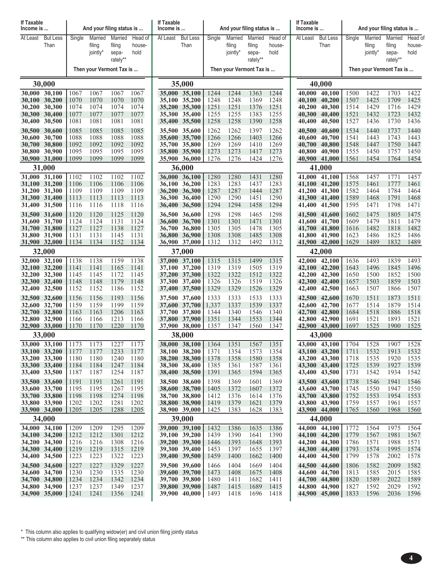| At Least<br><b>But Less</b><br>Married<br>Married<br><b>But Less</b><br>Married<br><b>But Less</b><br>Married<br>Single<br>Head of<br>At Least<br>Single<br>Married<br>Head of<br>At Least<br>Single<br>Married<br>Head of<br>Than<br>Than<br>Than<br>filing<br>filing<br>house-<br>filing<br>filing<br>house-<br>filing<br>filing<br>house-<br>jointly*<br>hold<br>jointly*<br>hold<br>jointly*<br>hold<br>sepa-<br>sepa-<br>sepa-<br>rately**<br>rately**<br>rately**<br>Then your Vermont Tax is<br>Then your Vermont Tax is<br>Then your Vermont Tax is<br>30,000<br>35,000<br>40,000<br>1422<br>30,000 30,100<br>1067<br>1067<br>1067<br>1067<br>35,000 35,100<br>1244<br>1244<br>1363<br>1244<br>40,000 40,100<br>1500<br>1703<br>1422<br>1070<br>1070<br>1070<br>35,100 35,200<br>1248<br>1248<br>1248<br>1507<br>1425<br>1709<br>1425<br>30,100 30,200<br>1070<br>1369<br>40,100<br>40,200<br>1074<br>1074<br>1251<br>1251<br>1251<br>1429<br>1716<br>1429<br>30,200 30,300<br>1074<br>1074<br>1376<br>40,300<br>1514<br>35,200 35,300<br>40,200<br>1255<br>1255<br>1255<br>1432<br>1077<br>1077<br>1077<br>1077<br>1383<br>1521<br>1723<br>1432<br>30,300 30,400<br>35,300 35,400<br>40,300<br>40,400<br>1081<br>1258<br>1436<br>30,400 30,500<br>1081<br>1081<br>1081<br>1258<br>1390<br>1258<br>1527<br>1730<br>1436<br>35,400 35,500<br>40,400<br>40,500<br>1085<br>1085<br>1085<br>1085<br>35,500 35,600<br>1397<br>1262<br>1534<br>1737<br>1440<br>30,500 30,600<br>1262<br>1262<br>40,500<br>40,600<br>1440<br>1088<br>1088<br>1088<br>1266<br>1266<br>1443<br>1743<br>1443<br>30,600 30,700<br>1088<br>35,600 35,700<br>1266<br>1403<br>40,600<br>40,700<br>1541<br>1092<br>1092<br>1092<br>1269<br>1269<br>1410<br>1269<br>1447<br>1750<br>1447<br>30,700 30,800<br>1092<br>35,700 35,800<br>40,700<br>40,800<br>1548<br>1095<br>1095<br>1273<br>30,800 30,900<br>1095<br>1095<br>35,800 35,900<br>1273<br>1417<br>1273<br>40,800<br>40,900<br>1555<br>1450<br>1757<br>1450<br>1099<br>1099<br>30,900 31,000<br>1099<br>1099<br>35,900 36,000<br>1276<br>1276<br>1424<br>1276<br>40,900<br>41,000<br>1561<br>1454<br>1764<br>1454<br>31,000<br>36,000<br>41,000<br>31,000 31,100<br>1102<br>1102<br>36,000 36,100<br>1280<br>1280<br>1431<br>1280<br>41,000 41,100<br>1568<br>1457<br>1771<br>1457<br>1102<br>1102<br>1283<br>1283<br>31,100 31,200<br>1106<br>1106<br>1106<br>1106<br>36,100 36,200<br>1437<br>1283<br>41,100<br>41,200<br>1575<br>1461<br>1777<br>1461<br>1287<br>1287<br>1784<br>1464<br>31,200 31,300<br>1109<br>1109<br>1109<br>1109<br>1444<br>1287<br>41,200 41,300<br>1582<br>1464<br>36,200 36,300<br>1290<br>31,300 31,400<br>1113<br>1113<br>1113<br>1113<br>36,300 36,400<br>1290<br>1290<br>1451<br>41,300 41,400<br>1589<br>1468<br>1791<br>1468<br>1294<br>1798<br>1471<br>31,400 31,500<br>1116<br>1116<br>1118<br>1116<br>36,400 36,500<br>1294<br>1458<br>1294<br>41,400 41,500<br>1595<br>1471<br>1120<br>1120<br>1125<br>1298<br>1298<br>1602<br>1475<br>1805<br>1475<br>31,500 31,600<br>1120<br>36,500 36,600<br>1298<br>1465<br>41,500 41,600<br>1131<br>1124<br>1301<br>1479<br>1811<br>1479<br>31,600 31,700<br>1124<br>1124<br>36,600 36,700<br>1301<br>1301<br>1471<br>41,600<br>41,700<br>1609<br>1127<br>1478<br>1482<br>1818<br>1482<br>31,700 31,800<br>1127<br>1138<br>1127<br>36,700 36,800<br>1305<br>1305<br>1305<br>41,700 41,800<br>1616<br>31,800 31,900<br>1131<br>1131<br>1145<br>1131<br>36,800 36,900<br>1308<br>1308<br>1485<br>1308<br>41,800 41,900<br>1623<br>1486<br>1825<br>1486<br>1134<br>1134<br>1152<br>1134<br>36,900 37,000<br>1312<br>1312<br>1492<br>1312<br>41,900 42,000<br>1629<br>1489<br>1832<br>1489<br>31,900 32,000<br>32,000<br>37,000<br>42,000<br>32,000 32,100<br>1138<br>1493<br>1138<br>37,000 37,100<br>1499<br>1315<br>42,000 42,100<br>1493<br>1839<br>1138<br>1159<br>1315<br>1315<br>1636<br>32,100 32,200<br>1141<br>37,100 37,200<br>1319<br>1319<br>1505<br>1319<br>42,100 42,200<br>1643<br>1496<br>1845<br>1496<br>1141<br>1165<br>1141<br>1500<br>32,200 32,300<br>1145<br>1145<br>1172<br>1322<br>1322<br>1322<br>42,200 42,300<br>1650<br>1500<br>1852<br>1145<br>37,200 37,300<br>1512<br>1148<br>1148<br>1179<br>1148<br>1326<br>1326<br>1519<br>1326<br>42,300 42,400<br>1503<br>1859<br>1503<br>32,300 32,400<br>37,300 37,400<br>1657<br>1152<br>1186<br>1329<br>1329<br>1329<br>1507<br>1866<br>1507<br>32,400 32,500<br>1152<br>1152<br>37,400 37,500<br>1526<br>42,400 42,500<br>1663<br>32,500 32,600<br>1156<br>1193<br>1670<br>1511<br>1873<br>1511<br>1156<br>1156<br>37,500 37,600<br>1333<br>1333<br>1533<br>1333<br>42,500<br>42,600<br>1199<br>1,337<br>1337<br>1539<br>1337<br>1879<br>1514<br>32,600 32,700<br>1159<br>1159<br>1159<br>42,700<br>1677<br>1514<br>37,600 37,700<br>42,600<br>1206<br>1518<br>1886<br>1518<br>1163<br>1163<br>1163<br>37,700 37,800<br>1344<br>1340<br>1546<br>1340<br>42,700 42,800<br>1684<br>32,700 32,800<br>1521<br>1521<br>32,800 32,900<br>1166<br>1166<br>1213<br>1166<br>37,800 37,900<br>1351<br>1344<br>1553<br>1344<br>42,800<br>42,900<br>1691<br>1893<br>1220<br>1525<br>1525<br>32,900 33,000<br>1170<br>1170<br>1170<br>37,900<br>38,000<br>1357<br>1347<br>1560<br>1347<br>42,900<br>43,000<br>1697<br>1900<br>33,000<br>38,000<br>43,000<br>33,000 33,100<br>1173<br>1173<br>1227<br>38,000 38,100<br>1351<br>43,100<br>1704<br>1528<br>1907<br>1528<br>1173<br>1364<br>1351<br>1567<br>43,000<br>33,100 33,200<br>38,100 38,200<br>43,100 43,200<br>1532<br>1177<br>1233<br>1177<br>1354<br>1573<br>1354<br>1711<br>1913<br>1532<br>1177<br>1371<br>43,200 43,300<br>1535<br>33,200 33,300<br>1180<br>1180<br>1240<br>1180<br>38,200 38,300<br>1378<br>1358<br>1580<br>1358<br>1718<br>1920<br>1535<br>1184<br>38,300 38,400<br>1385<br>1361<br>43,300 43,400<br>1539<br>1927<br>33,300 33,400<br>1184<br>1247<br>1184<br>1361<br>1587<br>1725<br>1539<br>1187<br>1542<br>1934<br>33,400 33,500<br>1187<br>1254<br>1187<br>38,400 38,500<br>1391<br>1365<br>1594<br>43,400 43,500<br>1731<br>1542<br>1365<br>33,500 33,600<br>1191<br>1261<br>1191<br>38,500 38,600<br>43,500 43,600<br>1941<br>1191<br>1398<br>1369<br>1601<br>1369<br>1738<br>1546<br>1546<br>33,600 33,700<br>1267<br>1405<br>43,600 43,700<br>1195<br>1195<br>1195<br>38,600 38,700<br>1372<br>1607<br>1372<br>1745<br>1550<br>1947<br>1550<br>33,700 33,800<br>1198<br>1198<br>1274<br>1198<br>38,700 38,800<br>1412<br>1376<br>1614<br>1376<br>43,700 43,800<br>1752<br>1553<br>1954<br>1553<br>33,800 33,900<br>1202<br>1281<br>1202<br>1202<br>38,800 38,900<br>1419<br>1379<br>1621<br>1379<br>43,800 43,900<br>1759<br>1557<br>1961<br>1557<br>1205<br>1205<br>1288<br>1628<br>43,900 44,000<br>33,900 34,000<br>1205<br>38,900 39,000<br>1425<br>1383<br>1383<br>1765<br>1560<br>1968<br>1560<br>34,000<br>39,000<br>44,000<br>34,000 34,100<br>1209<br>1209<br>1295<br>1209<br>39,000 39,100<br>1432<br>1386<br>44,000 44,100<br>1772<br>1564<br>1975<br>1564<br>1386<br>1635<br>1212<br>1981<br>34,100 34,200<br>1212<br>1301<br>1212<br>39,100 39,200<br>1439<br>1390<br>1641<br>1390<br>44,100 44,200<br>1779<br>1567<br>1567<br>34,200 34,300<br>1216<br>1216<br>1308<br>1216<br>39,200 39,300<br>1393<br>1393<br>44,200 44,300<br>1786<br>1571<br>1988<br>1446<br>1648<br>1571<br>1219<br>1219<br>1315<br>1219<br>1453<br>44,300 44,400<br>1574<br>1995<br>34,300 34,400<br>39,300 39,400<br>1397<br>1655<br>1397<br>1793<br>1574<br>1322<br>34,400 34,500<br>1223<br>1223<br>1223<br>39,400 39,500<br>1459<br>1400<br>1662<br>1400<br>44,400 44,500<br>1799<br>1578<br>2002<br>1578<br>34,500 34,600<br>1227<br>1329<br>1227<br>39,500 39,600<br>44,500 44,600<br>1227<br>1466<br>1404<br>1669<br>1404<br>1806<br>1582<br>2009<br>1582<br>1335<br>34,600 34,700<br>1230<br>1230<br>1230<br>39,600 39,700<br>1473<br>1408<br>1408<br>44,600 44,700<br>2015<br>1585<br>1675<br>1813<br>1585<br>34,700 34,800<br>1234<br>1342<br>39,700 39,800<br>1480<br>44,700 44,800<br>1589<br>2022<br>1234<br>1234<br>1411<br>1682<br>1411<br>1820<br>1589<br>34,800 34,900<br>44,800 44,900<br>2029<br>1237<br>1237<br>1349<br>1237<br>39,800 39,900<br>1487<br>1415<br>1689<br>1827<br>1592<br>1592<br>1415 | If Taxable<br>Income is | And your filing status is |  |  |      |  | <b>If Taxable</b><br>And your filing status is<br>Income is |  |  |  |  | If Taxable<br>Income is |  | And your filing status is |  |  |      |  |  |
|--------------------------------------------------------------------------------------------------------------------------------------------------------------------------------------------------------------------------------------------------------------------------------------------------------------------------------------------------------------------------------------------------------------------------------------------------------------------------------------------------------------------------------------------------------------------------------------------------------------------------------------------------------------------------------------------------------------------------------------------------------------------------------------------------------------------------------------------------------------------------------------------------------------------------------------------------------------------------------------------------------------------------------------------------------------------------------------------------------------------------------------------------------------------------------------------------------------------------------------------------------------------------------------------------------------------------------------------------------------------------------------------------------------------------------------------------------------------------------------------------------------------------------------------------------------------------------------------------------------------------------------------------------------------------------------------------------------------------------------------------------------------------------------------------------------------------------------------------------------------------------------------------------------------------------------------------------------------------------------------------------------------------------------------------------------------------------------------------------------------------------------------------------------------------------------------------------------------------------------------------------------------------------------------------------------------------------------------------------------------------------------------------------------------------------------------------------------------------------------------------------------------------------------------------------------------------------------------------------------------------------------------------------------------------------------------------------------------------------------------------------------------------------------------------------------------------------------------------------------------------------------------------------------------------------------------------------------------------------------------------------------------------------------------------------------------------------------------------------------------------------------------------------------------------------------------------------------------------------------------------------------------------------------------------------------------------------------------------------------------------------------------------------------------------------------------------------------------------------------------------------------------------------------------------------------------------------------------------------------------------------------------------------------------------------------------------------------------------------------------------------------------------------------------------------------------------------------------------------------------------------------------------------------------------------------------------------------------------------------------------------------------------------------------------------------------------------------------------------------------------------------------------------------------------------------------------------------------------------------------------------------------------------------------------------------------------------------------------------------------------------------------------------------------------------------------------------------------------------------------------------------------------------------------------------------------------------------------------------------------------------------------------------------------------------------------------------------------------------------------------------------------------------------------------------------------------------------------------------------------------------------------------------------------------------------------------------------------------------------------------------------------------------------------------------------------------------------------------------------------------------------------------------------------------------------------------------------------------------------------------------------------------------------------------------------------------------------------------------------------------------------------------------------------------------------------------------------------------------------------------------------------------------------------------------------------------------------------------------------------------------------------------------------------------------------------------------------------------------------------------------------------------------------------------------------------------------------------------------------------------------------------------------------------------------------------------------------------------------------------------------------------------------------------------------------------------------------------------------------------------------------------------------------------------------------------------------------------------------------------------------------------------------------------------------------------------------------------------------------------------------------------------------------------------------------------------------------------------------------------------------------------------------------------------------------------------------------------------------------------------------------------------------------------------------------------------------------------------------------------------------------------------------------------------------------------------------------------------------------------------------------------------------------------------------------------------------------------------------------------------------------------------------------------------------------------------------------------------------------------------------------------------------------------------------------------------------------------------------------------------------------------------------------------------------------------------------------------------------------------------------------------------------------------------------------------------------------------------------------------------------------------------------------------------------------------------------------------------------------------------------------------------------------------------------------------------------------------------------------------------------------------------------------------------------------------------------------------------------------------------------------------------------------------------------------------------------------------------------------------------------------------------------------------------------------------------------------------------------------------------------------------------------------------------------------------------------------------------------------------------------------------------|-------------------------|---------------------------|--|--|------|--|-------------------------------------------------------------|--|--|--|--|-------------------------|--|---------------------------|--|--|------|--|--|
|                                                                                                                                                                                                                                                                                                                                                                                                                                                                                                                                                                                                                                                                                                                                                                                                                                                                                                                                                                                                                                                                                                                                                                                                                                                                                                                                                                                                                                                                                                                                                                                                                                                                                                                                                                                                                                                                                                                                                                                                                                                                                                                                                                                                                                                                                                                                                                                                                                                                                                                                                                                                                                                                                                                                                                                                                                                                                                                                                                                                                                                                                                                                                                                                                                                                                                                                                                                                                                                                                                                                                                                                                                                                                                                                                                                                                                                                                                                                                                                                                                                                                                                                                                                                                                                                                                                                                                                                                                                                                                                                                                                                                                                                                                                                                                                                                                                                                                                                                                                                                                                                                                                                                                                                                                                                                                                                                                                                                                                                                                                                                                                                                                                                                                                                                                                                                                                                                                                                                                                                                                                                                                                                                                                                                                                                                                                                                                                                                                                                                                                                                                                                                                                                                                                                                                                                                                                                                                                                                                                                                                                                                                                                                                                                                                                                                                                                                                                                                                                                                                                                                                                                                                                                                                                                                                                                                                                                                                                                                                                                                                                                                                                                                                                                                                                                          |                         |                           |  |  |      |  |                                                             |  |  |  |  |                         |  |                           |  |  |      |  |  |
|                                                                                                                                                                                                                                                                                                                                                                                                                                                                                                                                                                                                                                                                                                                                                                                                                                                                                                                                                                                                                                                                                                                                                                                                                                                                                                                                                                                                                                                                                                                                                                                                                                                                                                                                                                                                                                                                                                                                                                                                                                                                                                                                                                                                                                                                                                                                                                                                                                                                                                                                                                                                                                                                                                                                                                                                                                                                                                                                                                                                                                                                                                                                                                                                                                                                                                                                                                                                                                                                                                                                                                                                                                                                                                                                                                                                                                                                                                                                                                                                                                                                                                                                                                                                                                                                                                                                                                                                                                                                                                                                                                                                                                                                                                                                                                                                                                                                                                                                                                                                                                                                                                                                                                                                                                                                                                                                                                                                                                                                                                                                                                                                                                                                                                                                                                                                                                                                                                                                                                                                                                                                                                                                                                                                                                                                                                                                                                                                                                                                                                                                                                                                                                                                                                                                                                                                                                                                                                                                                                                                                                                                                                                                                                                                                                                                                                                                                                                                                                                                                                                                                                                                                                                                                                                                                                                                                                                                                                                                                                                                                                                                                                                                                                                                                                                                          |                         |                           |  |  |      |  |                                                             |  |  |  |  |                         |  |                           |  |  |      |  |  |
|                                                                                                                                                                                                                                                                                                                                                                                                                                                                                                                                                                                                                                                                                                                                                                                                                                                                                                                                                                                                                                                                                                                                                                                                                                                                                                                                                                                                                                                                                                                                                                                                                                                                                                                                                                                                                                                                                                                                                                                                                                                                                                                                                                                                                                                                                                                                                                                                                                                                                                                                                                                                                                                                                                                                                                                                                                                                                                                                                                                                                                                                                                                                                                                                                                                                                                                                                                                                                                                                                                                                                                                                                                                                                                                                                                                                                                                                                                                                                                                                                                                                                                                                                                                                                                                                                                                                                                                                                                                                                                                                                                                                                                                                                                                                                                                                                                                                                                                                                                                                                                                                                                                                                                                                                                                                                                                                                                                                                                                                                                                                                                                                                                                                                                                                                                                                                                                                                                                                                                                                                                                                                                                                                                                                                                                                                                                                                                                                                                                                                                                                                                                                                                                                                                                                                                                                                                                                                                                                                                                                                                                                                                                                                                                                                                                                                                                                                                                                                                                                                                                                                                                                                                                                                                                                                                                                                                                                                                                                                                                                                                                                                                                                                                                                                                                                          |                         |                           |  |  |      |  |                                                             |  |  |  |  |                         |  |                           |  |  |      |  |  |
|                                                                                                                                                                                                                                                                                                                                                                                                                                                                                                                                                                                                                                                                                                                                                                                                                                                                                                                                                                                                                                                                                                                                                                                                                                                                                                                                                                                                                                                                                                                                                                                                                                                                                                                                                                                                                                                                                                                                                                                                                                                                                                                                                                                                                                                                                                                                                                                                                                                                                                                                                                                                                                                                                                                                                                                                                                                                                                                                                                                                                                                                                                                                                                                                                                                                                                                                                                                                                                                                                                                                                                                                                                                                                                                                                                                                                                                                                                                                                                                                                                                                                                                                                                                                                                                                                                                                                                                                                                                                                                                                                                                                                                                                                                                                                                                                                                                                                                                                                                                                                                                                                                                                                                                                                                                                                                                                                                                                                                                                                                                                                                                                                                                                                                                                                                                                                                                                                                                                                                                                                                                                                                                                                                                                                                                                                                                                                                                                                                                                                                                                                                                                                                                                                                                                                                                                                                                                                                                                                                                                                                                                                                                                                                                                                                                                                                                                                                                                                                                                                                                                                                                                                                                                                                                                                                                                                                                                                                                                                                                                                                                                                                                                                                                                                                                                          |                         |                           |  |  |      |  |                                                             |  |  |  |  |                         |  |                           |  |  |      |  |  |
|                                                                                                                                                                                                                                                                                                                                                                                                                                                                                                                                                                                                                                                                                                                                                                                                                                                                                                                                                                                                                                                                                                                                                                                                                                                                                                                                                                                                                                                                                                                                                                                                                                                                                                                                                                                                                                                                                                                                                                                                                                                                                                                                                                                                                                                                                                                                                                                                                                                                                                                                                                                                                                                                                                                                                                                                                                                                                                                                                                                                                                                                                                                                                                                                                                                                                                                                                                                                                                                                                                                                                                                                                                                                                                                                                                                                                                                                                                                                                                                                                                                                                                                                                                                                                                                                                                                                                                                                                                                                                                                                                                                                                                                                                                                                                                                                                                                                                                                                                                                                                                                                                                                                                                                                                                                                                                                                                                                                                                                                                                                                                                                                                                                                                                                                                                                                                                                                                                                                                                                                                                                                                                                                                                                                                                                                                                                                                                                                                                                                                                                                                                                                                                                                                                                                                                                                                                                                                                                                                                                                                                                                                                                                                                                                                                                                                                                                                                                                                                                                                                                                                                                                                                                                                                                                                                                                                                                                                                                                                                                                                                                                                                                                                                                                                                                                          |                         |                           |  |  |      |  |                                                             |  |  |  |  |                         |  |                           |  |  |      |  |  |
|                                                                                                                                                                                                                                                                                                                                                                                                                                                                                                                                                                                                                                                                                                                                                                                                                                                                                                                                                                                                                                                                                                                                                                                                                                                                                                                                                                                                                                                                                                                                                                                                                                                                                                                                                                                                                                                                                                                                                                                                                                                                                                                                                                                                                                                                                                                                                                                                                                                                                                                                                                                                                                                                                                                                                                                                                                                                                                                                                                                                                                                                                                                                                                                                                                                                                                                                                                                                                                                                                                                                                                                                                                                                                                                                                                                                                                                                                                                                                                                                                                                                                                                                                                                                                                                                                                                                                                                                                                                                                                                                                                                                                                                                                                                                                                                                                                                                                                                                                                                                                                                                                                                                                                                                                                                                                                                                                                                                                                                                                                                                                                                                                                                                                                                                                                                                                                                                                                                                                                                                                                                                                                                                                                                                                                                                                                                                                                                                                                                                                                                                                                                                                                                                                                                                                                                                                                                                                                                                                                                                                                                                                                                                                                                                                                                                                                                                                                                                                                                                                                                                                                                                                                                                                                                                                                                                                                                                                                                                                                                                                                                                                                                                                                                                                                                                          |                         |                           |  |  |      |  |                                                             |  |  |  |  |                         |  |                           |  |  |      |  |  |
|                                                                                                                                                                                                                                                                                                                                                                                                                                                                                                                                                                                                                                                                                                                                                                                                                                                                                                                                                                                                                                                                                                                                                                                                                                                                                                                                                                                                                                                                                                                                                                                                                                                                                                                                                                                                                                                                                                                                                                                                                                                                                                                                                                                                                                                                                                                                                                                                                                                                                                                                                                                                                                                                                                                                                                                                                                                                                                                                                                                                                                                                                                                                                                                                                                                                                                                                                                                                                                                                                                                                                                                                                                                                                                                                                                                                                                                                                                                                                                                                                                                                                                                                                                                                                                                                                                                                                                                                                                                                                                                                                                                                                                                                                                                                                                                                                                                                                                                                                                                                                                                                                                                                                                                                                                                                                                                                                                                                                                                                                                                                                                                                                                                                                                                                                                                                                                                                                                                                                                                                                                                                                                                                                                                                                                                                                                                                                                                                                                                                                                                                                                                                                                                                                                                                                                                                                                                                                                                                                                                                                                                                                                                                                                                                                                                                                                                                                                                                                                                                                                                                                                                                                                                                                                                                                                                                                                                                                                                                                                                                                                                                                                                                                                                                                                                                          |                         |                           |  |  |      |  |                                                             |  |  |  |  |                         |  |                           |  |  |      |  |  |
|                                                                                                                                                                                                                                                                                                                                                                                                                                                                                                                                                                                                                                                                                                                                                                                                                                                                                                                                                                                                                                                                                                                                                                                                                                                                                                                                                                                                                                                                                                                                                                                                                                                                                                                                                                                                                                                                                                                                                                                                                                                                                                                                                                                                                                                                                                                                                                                                                                                                                                                                                                                                                                                                                                                                                                                                                                                                                                                                                                                                                                                                                                                                                                                                                                                                                                                                                                                                                                                                                                                                                                                                                                                                                                                                                                                                                                                                                                                                                                                                                                                                                                                                                                                                                                                                                                                                                                                                                                                                                                                                                                                                                                                                                                                                                                                                                                                                                                                                                                                                                                                                                                                                                                                                                                                                                                                                                                                                                                                                                                                                                                                                                                                                                                                                                                                                                                                                                                                                                                                                                                                                                                                                                                                                                                                                                                                                                                                                                                                                                                                                                                                                                                                                                                                                                                                                                                                                                                                                                                                                                                                                                                                                                                                                                                                                                                                                                                                                                                                                                                                                                                                                                                                                                                                                                                                                                                                                                                                                                                                                                                                                                                                                                                                                                                                                          |                         |                           |  |  |      |  |                                                             |  |  |  |  |                         |  |                           |  |  |      |  |  |
|                                                                                                                                                                                                                                                                                                                                                                                                                                                                                                                                                                                                                                                                                                                                                                                                                                                                                                                                                                                                                                                                                                                                                                                                                                                                                                                                                                                                                                                                                                                                                                                                                                                                                                                                                                                                                                                                                                                                                                                                                                                                                                                                                                                                                                                                                                                                                                                                                                                                                                                                                                                                                                                                                                                                                                                                                                                                                                                                                                                                                                                                                                                                                                                                                                                                                                                                                                                                                                                                                                                                                                                                                                                                                                                                                                                                                                                                                                                                                                                                                                                                                                                                                                                                                                                                                                                                                                                                                                                                                                                                                                                                                                                                                                                                                                                                                                                                                                                                                                                                                                                                                                                                                                                                                                                                                                                                                                                                                                                                                                                                                                                                                                                                                                                                                                                                                                                                                                                                                                                                                                                                                                                                                                                                                                                                                                                                                                                                                                                                                                                                                                                                                                                                                                                                                                                                                                                                                                                                                                                                                                                                                                                                                                                                                                                                                                                                                                                                                                                                                                                                                                                                                                                                                                                                                                                                                                                                                                                                                                                                                                                                                                                                                                                                                                                                          |                         |                           |  |  |      |  |                                                             |  |  |  |  |                         |  |                           |  |  |      |  |  |
|                                                                                                                                                                                                                                                                                                                                                                                                                                                                                                                                                                                                                                                                                                                                                                                                                                                                                                                                                                                                                                                                                                                                                                                                                                                                                                                                                                                                                                                                                                                                                                                                                                                                                                                                                                                                                                                                                                                                                                                                                                                                                                                                                                                                                                                                                                                                                                                                                                                                                                                                                                                                                                                                                                                                                                                                                                                                                                                                                                                                                                                                                                                                                                                                                                                                                                                                                                                                                                                                                                                                                                                                                                                                                                                                                                                                                                                                                                                                                                                                                                                                                                                                                                                                                                                                                                                                                                                                                                                                                                                                                                                                                                                                                                                                                                                                                                                                                                                                                                                                                                                                                                                                                                                                                                                                                                                                                                                                                                                                                                                                                                                                                                                                                                                                                                                                                                                                                                                                                                                                                                                                                                                                                                                                                                                                                                                                                                                                                                                                                                                                                                                                                                                                                                                                                                                                                                                                                                                                                                                                                                                                                                                                                                                                                                                                                                                                                                                                                                                                                                                                                                                                                                                                                                                                                                                                                                                                                                                                                                                                                                                                                                                                                                                                                                                                          |                         |                           |  |  |      |  |                                                             |  |  |  |  |                         |  |                           |  |  |      |  |  |
|                                                                                                                                                                                                                                                                                                                                                                                                                                                                                                                                                                                                                                                                                                                                                                                                                                                                                                                                                                                                                                                                                                                                                                                                                                                                                                                                                                                                                                                                                                                                                                                                                                                                                                                                                                                                                                                                                                                                                                                                                                                                                                                                                                                                                                                                                                                                                                                                                                                                                                                                                                                                                                                                                                                                                                                                                                                                                                                                                                                                                                                                                                                                                                                                                                                                                                                                                                                                                                                                                                                                                                                                                                                                                                                                                                                                                                                                                                                                                                                                                                                                                                                                                                                                                                                                                                                                                                                                                                                                                                                                                                                                                                                                                                                                                                                                                                                                                                                                                                                                                                                                                                                                                                                                                                                                                                                                                                                                                                                                                                                                                                                                                                                                                                                                                                                                                                                                                                                                                                                                                                                                                                                                                                                                                                                                                                                                                                                                                                                                                                                                                                                                                                                                                                                                                                                                                                                                                                                                                                                                                                                                                                                                                                                                                                                                                                                                                                                                                                                                                                                                                                                                                                                                                                                                                                                                                                                                                                                                                                                                                                                                                                                                                                                                                                                                          |                         |                           |  |  |      |  |                                                             |  |  |  |  |                         |  |                           |  |  |      |  |  |
|                                                                                                                                                                                                                                                                                                                                                                                                                                                                                                                                                                                                                                                                                                                                                                                                                                                                                                                                                                                                                                                                                                                                                                                                                                                                                                                                                                                                                                                                                                                                                                                                                                                                                                                                                                                                                                                                                                                                                                                                                                                                                                                                                                                                                                                                                                                                                                                                                                                                                                                                                                                                                                                                                                                                                                                                                                                                                                                                                                                                                                                                                                                                                                                                                                                                                                                                                                                                                                                                                                                                                                                                                                                                                                                                                                                                                                                                                                                                                                                                                                                                                                                                                                                                                                                                                                                                                                                                                                                                                                                                                                                                                                                                                                                                                                                                                                                                                                                                                                                                                                                                                                                                                                                                                                                                                                                                                                                                                                                                                                                                                                                                                                                                                                                                                                                                                                                                                                                                                                                                                                                                                                                                                                                                                                                                                                                                                                                                                                                                                                                                                                                                                                                                                                                                                                                                                                                                                                                                                                                                                                                                                                                                                                                                                                                                                                                                                                                                                                                                                                                                                                                                                                                                                                                                                                                                                                                                                                                                                                                                                                                                                                                                                                                                                                                                          |                         |                           |  |  |      |  |                                                             |  |  |  |  |                         |  |                           |  |  |      |  |  |
|                                                                                                                                                                                                                                                                                                                                                                                                                                                                                                                                                                                                                                                                                                                                                                                                                                                                                                                                                                                                                                                                                                                                                                                                                                                                                                                                                                                                                                                                                                                                                                                                                                                                                                                                                                                                                                                                                                                                                                                                                                                                                                                                                                                                                                                                                                                                                                                                                                                                                                                                                                                                                                                                                                                                                                                                                                                                                                                                                                                                                                                                                                                                                                                                                                                                                                                                                                                                                                                                                                                                                                                                                                                                                                                                                                                                                                                                                                                                                                                                                                                                                                                                                                                                                                                                                                                                                                                                                                                                                                                                                                                                                                                                                                                                                                                                                                                                                                                                                                                                                                                                                                                                                                                                                                                                                                                                                                                                                                                                                                                                                                                                                                                                                                                                                                                                                                                                                                                                                                                                                                                                                                                                                                                                                                                                                                                                                                                                                                                                                                                                                                                                                                                                                                                                                                                                                                                                                                                                                                                                                                                                                                                                                                                                                                                                                                                                                                                                                                                                                                                                                                                                                                                                                                                                                                                                                                                                                                                                                                                                                                                                                                                                                                                                                                                                          |                         |                           |  |  |      |  |                                                             |  |  |  |  |                         |  |                           |  |  |      |  |  |
|                                                                                                                                                                                                                                                                                                                                                                                                                                                                                                                                                                                                                                                                                                                                                                                                                                                                                                                                                                                                                                                                                                                                                                                                                                                                                                                                                                                                                                                                                                                                                                                                                                                                                                                                                                                                                                                                                                                                                                                                                                                                                                                                                                                                                                                                                                                                                                                                                                                                                                                                                                                                                                                                                                                                                                                                                                                                                                                                                                                                                                                                                                                                                                                                                                                                                                                                                                                                                                                                                                                                                                                                                                                                                                                                                                                                                                                                                                                                                                                                                                                                                                                                                                                                                                                                                                                                                                                                                                                                                                                                                                                                                                                                                                                                                                                                                                                                                                                                                                                                                                                                                                                                                                                                                                                                                                                                                                                                                                                                                                                                                                                                                                                                                                                                                                                                                                                                                                                                                                                                                                                                                                                                                                                                                                                                                                                                                                                                                                                                                                                                                                                                                                                                                                                                                                                                                                                                                                                                                                                                                                                                                                                                                                                                                                                                                                                                                                                                                                                                                                                                                                                                                                                                                                                                                                                                                                                                                                                                                                                                                                                                                                                                                                                                                                                                          |                         |                           |  |  |      |  |                                                             |  |  |  |  |                         |  |                           |  |  |      |  |  |
|                                                                                                                                                                                                                                                                                                                                                                                                                                                                                                                                                                                                                                                                                                                                                                                                                                                                                                                                                                                                                                                                                                                                                                                                                                                                                                                                                                                                                                                                                                                                                                                                                                                                                                                                                                                                                                                                                                                                                                                                                                                                                                                                                                                                                                                                                                                                                                                                                                                                                                                                                                                                                                                                                                                                                                                                                                                                                                                                                                                                                                                                                                                                                                                                                                                                                                                                                                                                                                                                                                                                                                                                                                                                                                                                                                                                                                                                                                                                                                                                                                                                                                                                                                                                                                                                                                                                                                                                                                                                                                                                                                                                                                                                                                                                                                                                                                                                                                                                                                                                                                                                                                                                                                                                                                                                                                                                                                                                                                                                                                                                                                                                                                                                                                                                                                                                                                                                                                                                                                                                                                                                                                                                                                                                                                                                                                                                                                                                                                                                                                                                                                                                                                                                                                                                                                                                                                                                                                                                                                                                                                                                                                                                                                                                                                                                                                                                                                                                                                                                                                                                                                                                                                                                                                                                                                                                                                                                                                                                                                                                                                                                                                                                                                                                                                                                          |                         |                           |  |  |      |  |                                                             |  |  |  |  |                         |  |                           |  |  |      |  |  |
|                                                                                                                                                                                                                                                                                                                                                                                                                                                                                                                                                                                                                                                                                                                                                                                                                                                                                                                                                                                                                                                                                                                                                                                                                                                                                                                                                                                                                                                                                                                                                                                                                                                                                                                                                                                                                                                                                                                                                                                                                                                                                                                                                                                                                                                                                                                                                                                                                                                                                                                                                                                                                                                                                                                                                                                                                                                                                                                                                                                                                                                                                                                                                                                                                                                                                                                                                                                                                                                                                                                                                                                                                                                                                                                                                                                                                                                                                                                                                                                                                                                                                                                                                                                                                                                                                                                                                                                                                                                                                                                                                                                                                                                                                                                                                                                                                                                                                                                                                                                                                                                                                                                                                                                                                                                                                                                                                                                                                                                                                                                                                                                                                                                                                                                                                                                                                                                                                                                                                                                                                                                                                                                                                                                                                                                                                                                                                                                                                                                                                                                                                                                                                                                                                                                                                                                                                                                                                                                                                                                                                                                                                                                                                                                                                                                                                                                                                                                                                                                                                                                                                                                                                                                                                                                                                                                                                                                                                                                                                                                                                                                                                                                                                                                                                                                                          |                         |                           |  |  |      |  |                                                             |  |  |  |  |                         |  |                           |  |  |      |  |  |
|                                                                                                                                                                                                                                                                                                                                                                                                                                                                                                                                                                                                                                                                                                                                                                                                                                                                                                                                                                                                                                                                                                                                                                                                                                                                                                                                                                                                                                                                                                                                                                                                                                                                                                                                                                                                                                                                                                                                                                                                                                                                                                                                                                                                                                                                                                                                                                                                                                                                                                                                                                                                                                                                                                                                                                                                                                                                                                                                                                                                                                                                                                                                                                                                                                                                                                                                                                                                                                                                                                                                                                                                                                                                                                                                                                                                                                                                                                                                                                                                                                                                                                                                                                                                                                                                                                                                                                                                                                                                                                                                                                                                                                                                                                                                                                                                                                                                                                                                                                                                                                                                                                                                                                                                                                                                                                                                                                                                                                                                                                                                                                                                                                                                                                                                                                                                                                                                                                                                                                                                                                                                                                                                                                                                                                                                                                                                                                                                                                                                                                                                                                                                                                                                                                                                                                                                                                                                                                                                                                                                                                                                                                                                                                                                                                                                                                                                                                                                                                                                                                                                                                                                                                                                                                                                                                                                                                                                                                                                                                                                                                                                                                                                                                                                                                                                          |                         |                           |  |  |      |  |                                                             |  |  |  |  |                         |  |                           |  |  |      |  |  |
|                                                                                                                                                                                                                                                                                                                                                                                                                                                                                                                                                                                                                                                                                                                                                                                                                                                                                                                                                                                                                                                                                                                                                                                                                                                                                                                                                                                                                                                                                                                                                                                                                                                                                                                                                                                                                                                                                                                                                                                                                                                                                                                                                                                                                                                                                                                                                                                                                                                                                                                                                                                                                                                                                                                                                                                                                                                                                                                                                                                                                                                                                                                                                                                                                                                                                                                                                                                                                                                                                                                                                                                                                                                                                                                                                                                                                                                                                                                                                                                                                                                                                                                                                                                                                                                                                                                                                                                                                                                                                                                                                                                                                                                                                                                                                                                                                                                                                                                                                                                                                                                                                                                                                                                                                                                                                                                                                                                                                                                                                                                                                                                                                                                                                                                                                                                                                                                                                                                                                                                                                                                                                                                                                                                                                                                                                                                                                                                                                                                                                                                                                                                                                                                                                                                                                                                                                                                                                                                                                                                                                                                                                                                                                                                                                                                                                                                                                                                                                                                                                                                                                                                                                                                                                                                                                                                                                                                                                                                                                                                                                                                                                                                                                                                                                                                                          |                         |                           |  |  |      |  |                                                             |  |  |  |  |                         |  |                           |  |  |      |  |  |
|                                                                                                                                                                                                                                                                                                                                                                                                                                                                                                                                                                                                                                                                                                                                                                                                                                                                                                                                                                                                                                                                                                                                                                                                                                                                                                                                                                                                                                                                                                                                                                                                                                                                                                                                                                                                                                                                                                                                                                                                                                                                                                                                                                                                                                                                                                                                                                                                                                                                                                                                                                                                                                                                                                                                                                                                                                                                                                                                                                                                                                                                                                                                                                                                                                                                                                                                                                                                                                                                                                                                                                                                                                                                                                                                                                                                                                                                                                                                                                                                                                                                                                                                                                                                                                                                                                                                                                                                                                                                                                                                                                                                                                                                                                                                                                                                                                                                                                                                                                                                                                                                                                                                                                                                                                                                                                                                                                                                                                                                                                                                                                                                                                                                                                                                                                                                                                                                                                                                                                                                                                                                                                                                                                                                                                                                                                                                                                                                                                                                                                                                                                                                                                                                                                                                                                                                                                                                                                                                                                                                                                                                                                                                                                                                                                                                                                                                                                                                                                                                                                                                                                                                                                                                                                                                                                                                                                                                                                                                                                                                                                                                                                                                                                                                                                                                          |                         |                           |  |  |      |  |                                                             |  |  |  |  |                         |  |                           |  |  |      |  |  |
|                                                                                                                                                                                                                                                                                                                                                                                                                                                                                                                                                                                                                                                                                                                                                                                                                                                                                                                                                                                                                                                                                                                                                                                                                                                                                                                                                                                                                                                                                                                                                                                                                                                                                                                                                                                                                                                                                                                                                                                                                                                                                                                                                                                                                                                                                                                                                                                                                                                                                                                                                                                                                                                                                                                                                                                                                                                                                                                                                                                                                                                                                                                                                                                                                                                                                                                                                                                                                                                                                                                                                                                                                                                                                                                                                                                                                                                                                                                                                                                                                                                                                                                                                                                                                                                                                                                                                                                                                                                                                                                                                                                                                                                                                                                                                                                                                                                                                                                                                                                                                                                                                                                                                                                                                                                                                                                                                                                                                                                                                                                                                                                                                                                                                                                                                                                                                                                                                                                                                                                                                                                                                                                                                                                                                                                                                                                                                                                                                                                                                                                                                                                                                                                                                                                                                                                                                                                                                                                                                                                                                                                                                                                                                                                                                                                                                                                                                                                                                                                                                                                                                                                                                                                                                                                                                                                                                                                                                                                                                                                                                                                                                                                                                                                                                                                                          |                         |                           |  |  |      |  |                                                             |  |  |  |  |                         |  |                           |  |  |      |  |  |
|                                                                                                                                                                                                                                                                                                                                                                                                                                                                                                                                                                                                                                                                                                                                                                                                                                                                                                                                                                                                                                                                                                                                                                                                                                                                                                                                                                                                                                                                                                                                                                                                                                                                                                                                                                                                                                                                                                                                                                                                                                                                                                                                                                                                                                                                                                                                                                                                                                                                                                                                                                                                                                                                                                                                                                                                                                                                                                                                                                                                                                                                                                                                                                                                                                                                                                                                                                                                                                                                                                                                                                                                                                                                                                                                                                                                                                                                                                                                                                                                                                                                                                                                                                                                                                                                                                                                                                                                                                                                                                                                                                                                                                                                                                                                                                                                                                                                                                                                                                                                                                                                                                                                                                                                                                                                                                                                                                                                                                                                                                                                                                                                                                                                                                                                                                                                                                                                                                                                                                                                                                                                                                                                                                                                                                                                                                                                                                                                                                                                                                                                                                                                                                                                                                                                                                                                                                                                                                                                                                                                                                                                                                                                                                                                                                                                                                                                                                                                                                                                                                                                                                                                                                                                                                                                                                                                                                                                                                                                                                                                                                                                                                                                                                                                                                                                          |                         |                           |  |  |      |  |                                                             |  |  |  |  |                         |  |                           |  |  |      |  |  |
|                                                                                                                                                                                                                                                                                                                                                                                                                                                                                                                                                                                                                                                                                                                                                                                                                                                                                                                                                                                                                                                                                                                                                                                                                                                                                                                                                                                                                                                                                                                                                                                                                                                                                                                                                                                                                                                                                                                                                                                                                                                                                                                                                                                                                                                                                                                                                                                                                                                                                                                                                                                                                                                                                                                                                                                                                                                                                                                                                                                                                                                                                                                                                                                                                                                                                                                                                                                                                                                                                                                                                                                                                                                                                                                                                                                                                                                                                                                                                                                                                                                                                                                                                                                                                                                                                                                                                                                                                                                                                                                                                                                                                                                                                                                                                                                                                                                                                                                                                                                                                                                                                                                                                                                                                                                                                                                                                                                                                                                                                                                                                                                                                                                                                                                                                                                                                                                                                                                                                                                                                                                                                                                                                                                                                                                                                                                                                                                                                                                                                                                                                                                                                                                                                                                                                                                                                                                                                                                                                                                                                                                                                                                                                                                                                                                                                                                                                                                                                                                                                                                                                                                                                                                                                                                                                                                                                                                                                                                                                                                                                                                                                                                                                                                                                                                                          |                         |                           |  |  |      |  |                                                             |  |  |  |  |                         |  |                           |  |  |      |  |  |
|                                                                                                                                                                                                                                                                                                                                                                                                                                                                                                                                                                                                                                                                                                                                                                                                                                                                                                                                                                                                                                                                                                                                                                                                                                                                                                                                                                                                                                                                                                                                                                                                                                                                                                                                                                                                                                                                                                                                                                                                                                                                                                                                                                                                                                                                                                                                                                                                                                                                                                                                                                                                                                                                                                                                                                                                                                                                                                                                                                                                                                                                                                                                                                                                                                                                                                                                                                                                                                                                                                                                                                                                                                                                                                                                                                                                                                                                                                                                                                                                                                                                                                                                                                                                                                                                                                                                                                                                                                                                                                                                                                                                                                                                                                                                                                                                                                                                                                                                                                                                                                                                                                                                                                                                                                                                                                                                                                                                                                                                                                                                                                                                                                                                                                                                                                                                                                                                                                                                                                                                                                                                                                                                                                                                                                                                                                                                                                                                                                                                                                                                                                                                                                                                                                                                                                                                                                                                                                                                                                                                                                                                                                                                                                                                                                                                                                                                                                                                                                                                                                                                                                                                                                                                                                                                                                                                                                                                                                                                                                                                                                                                                                                                                                                                                                                                          |                         |                           |  |  |      |  |                                                             |  |  |  |  |                         |  |                           |  |  |      |  |  |
|                                                                                                                                                                                                                                                                                                                                                                                                                                                                                                                                                                                                                                                                                                                                                                                                                                                                                                                                                                                                                                                                                                                                                                                                                                                                                                                                                                                                                                                                                                                                                                                                                                                                                                                                                                                                                                                                                                                                                                                                                                                                                                                                                                                                                                                                                                                                                                                                                                                                                                                                                                                                                                                                                                                                                                                                                                                                                                                                                                                                                                                                                                                                                                                                                                                                                                                                                                                                                                                                                                                                                                                                                                                                                                                                                                                                                                                                                                                                                                                                                                                                                                                                                                                                                                                                                                                                                                                                                                                                                                                                                                                                                                                                                                                                                                                                                                                                                                                                                                                                                                                                                                                                                                                                                                                                                                                                                                                                                                                                                                                                                                                                                                                                                                                                                                                                                                                                                                                                                                                                                                                                                                                                                                                                                                                                                                                                                                                                                                                                                                                                                                                                                                                                                                                                                                                                                                                                                                                                                                                                                                                                                                                                                                                                                                                                                                                                                                                                                                                                                                                                                                                                                                                                                                                                                                                                                                                                                                                                                                                                                                                                                                                                                                                                                                                                          |                         |                           |  |  |      |  |                                                             |  |  |  |  |                         |  |                           |  |  |      |  |  |
|                                                                                                                                                                                                                                                                                                                                                                                                                                                                                                                                                                                                                                                                                                                                                                                                                                                                                                                                                                                                                                                                                                                                                                                                                                                                                                                                                                                                                                                                                                                                                                                                                                                                                                                                                                                                                                                                                                                                                                                                                                                                                                                                                                                                                                                                                                                                                                                                                                                                                                                                                                                                                                                                                                                                                                                                                                                                                                                                                                                                                                                                                                                                                                                                                                                                                                                                                                                                                                                                                                                                                                                                                                                                                                                                                                                                                                                                                                                                                                                                                                                                                                                                                                                                                                                                                                                                                                                                                                                                                                                                                                                                                                                                                                                                                                                                                                                                                                                                                                                                                                                                                                                                                                                                                                                                                                                                                                                                                                                                                                                                                                                                                                                                                                                                                                                                                                                                                                                                                                                                                                                                                                                                                                                                                                                                                                                                                                                                                                                                                                                                                                                                                                                                                                                                                                                                                                                                                                                                                                                                                                                                                                                                                                                                                                                                                                                                                                                                                                                                                                                                                                                                                                                                                                                                                                                                                                                                                                                                                                                                                                                                                                                                                                                                                                                                          |                         |                           |  |  |      |  |                                                             |  |  |  |  |                         |  |                           |  |  |      |  |  |
|                                                                                                                                                                                                                                                                                                                                                                                                                                                                                                                                                                                                                                                                                                                                                                                                                                                                                                                                                                                                                                                                                                                                                                                                                                                                                                                                                                                                                                                                                                                                                                                                                                                                                                                                                                                                                                                                                                                                                                                                                                                                                                                                                                                                                                                                                                                                                                                                                                                                                                                                                                                                                                                                                                                                                                                                                                                                                                                                                                                                                                                                                                                                                                                                                                                                                                                                                                                                                                                                                                                                                                                                                                                                                                                                                                                                                                                                                                                                                                                                                                                                                                                                                                                                                                                                                                                                                                                                                                                                                                                                                                                                                                                                                                                                                                                                                                                                                                                                                                                                                                                                                                                                                                                                                                                                                                                                                                                                                                                                                                                                                                                                                                                                                                                                                                                                                                                                                                                                                                                                                                                                                                                                                                                                                                                                                                                                                                                                                                                                                                                                                                                                                                                                                                                                                                                                                                                                                                                                                                                                                                                                                                                                                                                                                                                                                                                                                                                                                                                                                                                                                                                                                                                                                                                                                                                                                                                                                                                                                                                                                                                                                                                                                                                                                                                                          |                         |                           |  |  |      |  |                                                             |  |  |  |  |                         |  |                           |  |  |      |  |  |
|                                                                                                                                                                                                                                                                                                                                                                                                                                                                                                                                                                                                                                                                                                                                                                                                                                                                                                                                                                                                                                                                                                                                                                                                                                                                                                                                                                                                                                                                                                                                                                                                                                                                                                                                                                                                                                                                                                                                                                                                                                                                                                                                                                                                                                                                                                                                                                                                                                                                                                                                                                                                                                                                                                                                                                                                                                                                                                                                                                                                                                                                                                                                                                                                                                                                                                                                                                                                                                                                                                                                                                                                                                                                                                                                                                                                                                                                                                                                                                                                                                                                                                                                                                                                                                                                                                                                                                                                                                                                                                                                                                                                                                                                                                                                                                                                                                                                                                                                                                                                                                                                                                                                                                                                                                                                                                                                                                                                                                                                                                                                                                                                                                                                                                                                                                                                                                                                                                                                                                                                                                                                                                                                                                                                                                                                                                                                                                                                                                                                                                                                                                                                                                                                                                                                                                                                                                                                                                                                                                                                                                                                                                                                                                                                                                                                                                                                                                                                                                                                                                                                                                                                                                                                                                                                                                                                                                                                                                                                                                                                                                                                                                                                                                                                                                                                          |                         |                           |  |  |      |  |                                                             |  |  |  |  |                         |  |                           |  |  |      |  |  |
|                                                                                                                                                                                                                                                                                                                                                                                                                                                                                                                                                                                                                                                                                                                                                                                                                                                                                                                                                                                                                                                                                                                                                                                                                                                                                                                                                                                                                                                                                                                                                                                                                                                                                                                                                                                                                                                                                                                                                                                                                                                                                                                                                                                                                                                                                                                                                                                                                                                                                                                                                                                                                                                                                                                                                                                                                                                                                                                                                                                                                                                                                                                                                                                                                                                                                                                                                                                                                                                                                                                                                                                                                                                                                                                                                                                                                                                                                                                                                                                                                                                                                                                                                                                                                                                                                                                                                                                                                                                                                                                                                                                                                                                                                                                                                                                                                                                                                                                                                                                                                                                                                                                                                                                                                                                                                                                                                                                                                                                                                                                                                                                                                                                                                                                                                                                                                                                                                                                                                                                                                                                                                                                                                                                                                                                                                                                                                                                                                                                                                                                                                                                                                                                                                                                                                                                                                                                                                                                                                                                                                                                                                                                                                                                                                                                                                                                                                                                                                                                                                                                                                                                                                                                                                                                                                                                                                                                                                                                                                                                                                                                                                                                                                                                                                                                                          |                         |                           |  |  |      |  |                                                             |  |  |  |  |                         |  |                           |  |  |      |  |  |
|                                                                                                                                                                                                                                                                                                                                                                                                                                                                                                                                                                                                                                                                                                                                                                                                                                                                                                                                                                                                                                                                                                                                                                                                                                                                                                                                                                                                                                                                                                                                                                                                                                                                                                                                                                                                                                                                                                                                                                                                                                                                                                                                                                                                                                                                                                                                                                                                                                                                                                                                                                                                                                                                                                                                                                                                                                                                                                                                                                                                                                                                                                                                                                                                                                                                                                                                                                                                                                                                                                                                                                                                                                                                                                                                                                                                                                                                                                                                                                                                                                                                                                                                                                                                                                                                                                                                                                                                                                                                                                                                                                                                                                                                                                                                                                                                                                                                                                                                                                                                                                                                                                                                                                                                                                                                                                                                                                                                                                                                                                                                                                                                                                                                                                                                                                                                                                                                                                                                                                                                                                                                                                                                                                                                                                                                                                                                                                                                                                                                                                                                                                                                                                                                                                                                                                                                                                                                                                                                                                                                                                                                                                                                                                                                                                                                                                                                                                                                                                                                                                                                                                                                                                                                                                                                                                                                                                                                                                                                                                                                                                                                                                                                                                                                                                                                          |                         |                           |  |  |      |  |                                                             |  |  |  |  |                         |  |                           |  |  |      |  |  |
|                                                                                                                                                                                                                                                                                                                                                                                                                                                                                                                                                                                                                                                                                                                                                                                                                                                                                                                                                                                                                                                                                                                                                                                                                                                                                                                                                                                                                                                                                                                                                                                                                                                                                                                                                                                                                                                                                                                                                                                                                                                                                                                                                                                                                                                                                                                                                                                                                                                                                                                                                                                                                                                                                                                                                                                                                                                                                                                                                                                                                                                                                                                                                                                                                                                                                                                                                                                                                                                                                                                                                                                                                                                                                                                                                                                                                                                                                                                                                                                                                                                                                                                                                                                                                                                                                                                                                                                                                                                                                                                                                                                                                                                                                                                                                                                                                                                                                                                                                                                                                                                                                                                                                                                                                                                                                                                                                                                                                                                                                                                                                                                                                                                                                                                                                                                                                                                                                                                                                                                                                                                                                                                                                                                                                                                                                                                                                                                                                                                                                                                                                                                                                                                                                                                                                                                                                                                                                                                                                                                                                                                                                                                                                                                                                                                                                                                                                                                                                                                                                                                                                                                                                                                                                                                                                                                                                                                                                                                                                                                                                                                                                                                                                                                                                                                                          |                         |                           |  |  |      |  |                                                             |  |  |  |  |                         |  |                           |  |  |      |  |  |
|                                                                                                                                                                                                                                                                                                                                                                                                                                                                                                                                                                                                                                                                                                                                                                                                                                                                                                                                                                                                                                                                                                                                                                                                                                                                                                                                                                                                                                                                                                                                                                                                                                                                                                                                                                                                                                                                                                                                                                                                                                                                                                                                                                                                                                                                                                                                                                                                                                                                                                                                                                                                                                                                                                                                                                                                                                                                                                                                                                                                                                                                                                                                                                                                                                                                                                                                                                                                                                                                                                                                                                                                                                                                                                                                                                                                                                                                                                                                                                                                                                                                                                                                                                                                                                                                                                                                                                                                                                                                                                                                                                                                                                                                                                                                                                                                                                                                                                                                                                                                                                                                                                                                                                                                                                                                                                                                                                                                                                                                                                                                                                                                                                                                                                                                                                                                                                                                                                                                                                                                                                                                                                                                                                                                                                                                                                                                                                                                                                                                                                                                                                                                                                                                                                                                                                                                                                                                                                                                                                                                                                                                                                                                                                                                                                                                                                                                                                                                                                                                                                                                                                                                                                                                                                                                                                                                                                                                                                                                                                                                                                                                                                                                                                                                                                                                          |                         |                           |  |  |      |  |                                                             |  |  |  |  |                         |  |                           |  |  |      |  |  |
|                                                                                                                                                                                                                                                                                                                                                                                                                                                                                                                                                                                                                                                                                                                                                                                                                                                                                                                                                                                                                                                                                                                                                                                                                                                                                                                                                                                                                                                                                                                                                                                                                                                                                                                                                                                                                                                                                                                                                                                                                                                                                                                                                                                                                                                                                                                                                                                                                                                                                                                                                                                                                                                                                                                                                                                                                                                                                                                                                                                                                                                                                                                                                                                                                                                                                                                                                                                                                                                                                                                                                                                                                                                                                                                                                                                                                                                                                                                                                                                                                                                                                                                                                                                                                                                                                                                                                                                                                                                                                                                                                                                                                                                                                                                                                                                                                                                                                                                                                                                                                                                                                                                                                                                                                                                                                                                                                                                                                                                                                                                                                                                                                                                                                                                                                                                                                                                                                                                                                                                                                                                                                                                                                                                                                                                                                                                                                                                                                                                                                                                                                                                                                                                                                                                                                                                                                                                                                                                                                                                                                                                                                                                                                                                                                                                                                                                                                                                                                                                                                                                                                                                                                                                                                                                                                                                                                                                                                                                                                                                                                                                                                                                                                                                                                                                                          |                         |                           |  |  |      |  |                                                             |  |  |  |  |                         |  |                           |  |  |      |  |  |
|                                                                                                                                                                                                                                                                                                                                                                                                                                                                                                                                                                                                                                                                                                                                                                                                                                                                                                                                                                                                                                                                                                                                                                                                                                                                                                                                                                                                                                                                                                                                                                                                                                                                                                                                                                                                                                                                                                                                                                                                                                                                                                                                                                                                                                                                                                                                                                                                                                                                                                                                                                                                                                                                                                                                                                                                                                                                                                                                                                                                                                                                                                                                                                                                                                                                                                                                                                                                                                                                                                                                                                                                                                                                                                                                                                                                                                                                                                                                                                                                                                                                                                                                                                                                                                                                                                                                                                                                                                                                                                                                                                                                                                                                                                                                                                                                                                                                                                                                                                                                                                                                                                                                                                                                                                                                                                                                                                                                                                                                                                                                                                                                                                                                                                                                                                                                                                                                                                                                                                                                                                                                                                                                                                                                                                                                                                                                                                                                                                                                                                                                                                                                                                                                                                                                                                                                                                                                                                                                                                                                                                                                                                                                                                                                                                                                                                                                                                                                                                                                                                                                                                                                                                                                                                                                                                                                                                                                                                                                                                                                                                                                                                                                                                                                                                                                          |                         |                           |  |  |      |  |                                                             |  |  |  |  |                         |  |                           |  |  |      |  |  |
|                                                                                                                                                                                                                                                                                                                                                                                                                                                                                                                                                                                                                                                                                                                                                                                                                                                                                                                                                                                                                                                                                                                                                                                                                                                                                                                                                                                                                                                                                                                                                                                                                                                                                                                                                                                                                                                                                                                                                                                                                                                                                                                                                                                                                                                                                                                                                                                                                                                                                                                                                                                                                                                                                                                                                                                                                                                                                                                                                                                                                                                                                                                                                                                                                                                                                                                                                                                                                                                                                                                                                                                                                                                                                                                                                                                                                                                                                                                                                                                                                                                                                                                                                                                                                                                                                                                                                                                                                                                                                                                                                                                                                                                                                                                                                                                                                                                                                                                                                                                                                                                                                                                                                                                                                                                                                                                                                                                                                                                                                                                                                                                                                                                                                                                                                                                                                                                                                                                                                                                                                                                                                                                                                                                                                                                                                                                                                                                                                                                                                                                                                                                                                                                                                                                                                                                                                                                                                                                                                                                                                                                                                                                                                                                                                                                                                                                                                                                                                                                                                                                                                                                                                                                                                                                                                                                                                                                                                                                                                                                                                                                                                                                                                                                                                                                                          |                         |                           |  |  |      |  |                                                             |  |  |  |  |                         |  |                           |  |  |      |  |  |
|                                                                                                                                                                                                                                                                                                                                                                                                                                                                                                                                                                                                                                                                                                                                                                                                                                                                                                                                                                                                                                                                                                                                                                                                                                                                                                                                                                                                                                                                                                                                                                                                                                                                                                                                                                                                                                                                                                                                                                                                                                                                                                                                                                                                                                                                                                                                                                                                                                                                                                                                                                                                                                                                                                                                                                                                                                                                                                                                                                                                                                                                                                                                                                                                                                                                                                                                                                                                                                                                                                                                                                                                                                                                                                                                                                                                                                                                                                                                                                                                                                                                                                                                                                                                                                                                                                                                                                                                                                                                                                                                                                                                                                                                                                                                                                                                                                                                                                                                                                                                                                                                                                                                                                                                                                                                                                                                                                                                                                                                                                                                                                                                                                                                                                                                                                                                                                                                                                                                                                                                                                                                                                                                                                                                                                                                                                                                                                                                                                                                                                                                                                                                                                                                                                                                                                                                                                                                                                                                                                                                                                                                                                                                                                                                                                                                                                                                                                                                                                                                                                                                                                                                                                                                                                                                                                                                                                                                                                                                                                                                                                                                                                                                                                                                                                                                          |                         |                           |  |  |      |  |                                                             |  |  |  |  |                         |  |                           |  |  |      |  |  |
|                                                                                                                                                                                                                                                                                                                                                                                                                                                                                                                                                                                                                                                                                                                                                                                                                                                                                                                                                                                                                                                                                                                                                                                                                                                                                                                                                                                                                                                                                                                                                                                                                                                                                                                                                                                                                                                                                                                                                                                                                                                                                                                                                                                                                                                                                                                                                                                                                                                                                                                                                                                                                                                                                                                                                                                                                                                                                                                                                                                                                                                                                                                                                                                                                                                                                                                                                                                                                                                                                                                                                                                                                                                                                                                                                                                                                                                                                                                                                                                                                                                                                                                                                                                                                                                                                                                                                                                                                                                                                                                                                                                                                                                                                                                                                                                                                                                                                                                                                                                                                                                                                                                                                                                                                                                                                                                                                                                                                                                                                                                                                                                                                                                                                                                                                                                                                                                                                                                                                                                                                                                                                                                                                                                                                                                                                                                                                                                                                                                                                                                                                                                                                                                                                                                                                                                                                                                                                                                                                                                                                                                                                                                                                                                                                                                                                                                                                                                                                                                                                                                                                                                                                                                                                                                                                                                                                                                                                                                                                                                                                                                                                                                                                                                                                                                                          |                         |                           |  |  |      |  |                                                             |  |  |  |  |                         |  |                           |  |  |      |  |  |
|                                                                                                                                                                                                                                                                                                                                                                                                                                                                                                                                                                                                                                                                                                                                                                                                                                                                                                                                                                                                                                                                                                                                                                                                                                                                                                                                                                                                                                                                                                                                                                                                                                                                                                                                                                                                                                                                                                                                                                                                                                                                                                                                                                                                                                                                                                                                                                                                                                                                                                                                                                                                                                                                                                                                                                                                                                                                                                                                                                                                                                                                                                                                                                                                                                                                                                                                                                                                                                                                                                                                                                                                                                                                                                                                                                                                                                                                                                                                                                                                                                                                                                                                                                                                                                                                                                                                                                                                                                                                                                                                                                                                                                                                                                                                                                                                                                                                                                                                                                                                                                                                                                                                                                                                                                                                                                                                                                                                                                                                                                                                                                                                                                                                                                                                                                                                                                                                                                                                                                                                                                                                                                                                                                                                                                                                                                                                                                                                                                                                                                                                                                                                                                                                                                                                                                                                                                                                                                                                                                                                                                                                                                                                                                                                                                                                                                                                                                                                                                                                                                                                                                                                                                                                                                                                                                                                                                                                                                                                                                                                                                                                                                                                                                                                                                                                          |                         |                           |  |  |      |  |                                                             |  |  |  |  |                         |  |                           |  |  |      |  |  |
|                                                                                                                                                                                                                                                                                                                                                                                                                                                                                                                                                                                                                                                                                                                                                                                                                                                                                                                                                                                                                                                                                                                                                                                                                                                                                                                                                                                                                                                                                                                                                                                                                                                                                                                                                                                                                                                                                                                                                                                                                                                                                                                                                                                                                                                                                                                                                                                                                                                                                                                                                                                                                                                                                                                                                                                                                                                                                                                                                                                                                                                                                                                                                                                                                                                                                                                                                                                                                                                                                                                                                                                                                                                                                                                                                                                                                                                                                                                                                                                                                                                                                                                                                                                                                                                                                                                                                                                                                                                                                                                                                                                                                                                                                                                                                                                                                                                                                                                                                                                                                                                                                                                                                                                                                                                                                                                                                                                                                                                                                                                                                                                                                                                                                                                                                                                                                                                                                                                                                                                                                                                                                                                                                                                                                                                                                                                                                                                                                                                                                                                                                                                                                                                                                                                                                                                                                                                                                                                                                                                                                                                                                                                                                                                                                                                                                                                                                                                                                                                                                                                                                                                                                                                                                                                                                                                                                                                                                                                                                                                                                                                                                                                                                                                                                                                                          |                         |                           |  |  |      |  |                                                             |  |  |  |  |                         |  |                           |  |  |      |  |  |
|                                                                                                                                                                                                                                                                                                                                                                                                                                                                                                                                                                                                                                                                                                                                                                                                                                                                                                                                                                                                                                                                                                                                                                                                                                                                                                                                                                                                                                                                                                                                                                                                                                                                                                                                                                                                                                                                                                                                                                                                                                                                                                                                                                                                                                                                                                                                                                                                                                                                                                                                                                                                                                                                                                                                                                                                                                                                                                                                                                                                                                                                                                                                                                                                                                                                                                                                                                                                                                                                                                                                                                                                                                                                                                                                                                                                                                                                                                                                                                                                                                                                                                                                                                                                                                                                                                                                                                                                                                                                                                                                                                                                                                                                                                                                                                                                                                                                                                                                                                                                                                                                                                                                                                                                                                                                                                                                                                                                                                                                                                                                                                                                                                                                                                                                                                                                                                                                                                                                                                                                                                                                                                                                                                                                                                                                                                                                                                                                                                                                                                                                                                                                                                                                                                                                                                                                                                                                                                                                                                                                                                                                                                                                                                                                                                                                                                                                                                                                                                                                                                                                                                                                                                                                                                                                                                                                                                                                                                                                                                                                                                                                                                                                                                                                                                                                          |                         |                           |  |  |      |  |                                                             |  |  |  |  |                         |  |                           |  |  |      |  |  |
|                                                                                                                                                                                                                                                                                                                                                                                                                                                                                                                                                                                                                                                                                                                                                                                                                                                                                                                                                                                                                                                                                                                                                                                                                                                                                                                                                                                                                                                                                                                                                                                                                                                                                                                                                                                                                                                                                                                                                                                                                                                                                                                                                                                                                                                                                                                                                                                                                                                                                                                                                                                                                                                                                                                                                                                                                                                                                                                                                                                                                                                                                                                                                                                                                                                                                                                                                                                                                                                                                                                                                                                                                                                                                                                                                                                                                                                                                                                                                                                                                                                                                                                                                                                                                                                                                                                                                                                                                                                                                                                                                                                                                                                                                                                                                                                                                                                                                                                                                                                                                                                                                                                                                                                                                                                                                                                                                                                                                                                                                                                                                                                                                                                                                                                                                                                                                                                                                                                                                                                                                                                                                                                                                                                                                                                                                                                                                                                                                                                                                                                                                                                                                                                                                                                                                                                                                                                                                                                                                                                                                                                                                                                                                                                                                                                                                                                                                                                                                                                                                                                                                                                                                                                                                                                                                                                                                                                                                                                                                                                                                                                                                                                                                                                                                                                                          |                         |                           |  |  |      |  |                                                             |  |  |  |  |                         |  |                           |  |  |      |  |  |
|                                                                                                                                                                                                                                                                                                                                                                                                                                                                                                                                                                                                                                                                                                                                                                                                                                                                                                                                                                                                                                                                                                                                                                                                                                                                                                                                                                                                                                                                                                                                                                                                                                                                                                                                                                                                                                                                                                                                                                                                                                                                                                                                                                                                                                                                                                                                                                                                                                                                                                                                                                                                                                                                                                                                                                                                                                                                                                                                                                                                                                                                                                                                                                                                                                                                                                                                                                                                                                                                                                                                                                                                                                                                                                                                                                                                                                                                                                                                                                                                                                                                                                                                                                                                                                                                                                                                                                                                                                                                                                                                                                                                                                                                                                                                                                                                                                                                                                                                                                                                                                                                                                                                                                                                                                                                                                                                                                                                                                                                                                                                                                                                                                                                                                                                                                                                                                                                                                                                                                                                                                                                                                                                                                                                                                                                                                                                                                                                                                                                                                                                                                                                                                                                                                                                                                                                                                                                                                                                                                                                                                                                                                                                                                                                                                                                                                                                                                                                                                                                                                                                                                                                                                                                                                                                                                                                                                                                                                                                                                                                                                                                                                                                                                                                                                                                          |                         |                           |  |  |      |  |                                                             |  |  |  |  |                         |  |                           |  |  |      |  |  |
|                                                                                                                                                                                                                                                                                                                                                                                                                                                                                                                                                                                                                                                                                                                                                                                                                                                                                                                                                                                                                                                                                                                                                                                                                                                                                                                                                                                                                                                                                                                                                                                                                                                                                                                                                                                                                                                                                                                                                                                                                                                                                                                                                                                                                                                                                                                                                                                                                                                                                                                                                                                                                                                                                                                                                                                                                                                                                                                                                                                                                                                                                                                                                                                                                                                                                                                                                                                                                                                                                                                                                                                                                                                                                                                                                                                                                                                                                                                                                                                                                                                                                                                                                                                                                                                                                                                                                                                                                                                                                                                                                                                                                                                                                                                                                                                                                                                                                                                                                                                                                                                                                                                                                                                                                                                                                                                                                                                                                                                                                                                                                                                                                                                                                                                                                                                                                                                                                                                                                                                                                                                                                                                                                                                                                                                                                                                                                                                                                                                                                                                                                                                                                                                                                                                                                                                                                                                                                                                                                                                                                                                                                                                                                                                                                                                                                                                                                                                                                                                                                                                                                                                                                                                                                                                                                                                                                                                                                                                                                                                                                                                                                                                                                                                                                                                                          |                         |                           |  |  |      |  |                                                             |  |  |  |  |                         |  |                           |  |  |      |  |  |
|                                                                                                                                                                                                                                                                                                                                                                                                                                                                                                                                                                                                                                                                                                                                                                                                                                                                                                                                                                                                                                                                                                                                                                                                                                                                                                                                                                                                                                                                                                                                                                                                                                                                                                                                                                                                                                                                                                                                                                                                                                                                                                                                                                                                                                                                                                                                                                                                                                                                                                                                                                                                                                                                                                                                                                                                                                                                                                                                                                                                                                                                                                                                                                                                                                                                                                                                                                                                                                                                                                                                                                                                                                                                                                                                                                                                                                                                                                                                                                                                                                                                                                                                                                                                                                                                                                                                                                                                                                                                                                                                                                                                                                                                                                                                                                                                                                                                                                                                                                                                                                                                                                                                                                                                                                                                                                                                                                                                                                                                                                                                                                                                                                                                                                                                                                                                                                                                                                                                                                                                                                                                                                                                                                                                                                                                                                                                                                                                                                                                                                                                                                                                                                                                                                                                                                                                                                                                                                                                                                                                                                                                                                                                                                                                                                                                                                                                                                                                                                                                                                                                                                                                                                                                                                                                                                                                                                                                                                                                                                                                                                                                                                                                                                                                                                                                          |                         |                           |  |  |      |  |                                                             |  |  |  |  |                         |  |                           |  |  |      |  |  |
| 1241<br>34,900 35,000<br>1241<br>1241<br>39,900 40,000<br>1493<br>1418<br>1696<br>44,900 45,000<br>1833<br>1596<br>1596<br>1418                                                                                                                                                                                                                                                                                                                                                                                                                                                                                                                                                                                                                                                                                                                                                                                                                                                                                                                                                                                                                                                                                                                                                                                                                                                                                                                                                                                                                                                                                                                                                                                                                                                                                                                                                                                                                                                                                                                                                                                                                                                                                                                                                                                                                                                                                                                                                                                                                                                                                                                                                                                                                                                                                                                                                                                                                                                                                                                                                                                                                                                                                                                                                                                                                                                                                                                                                                                                                                                                                                                                                                                                                                                                                                                                                                                                                                                                                                                                                                                                                                                                                                                                                                                                                                                                                                                                                                                                                                                                                                                                                                                                                                                                                                                                                                                                                                                                                                                                                                                                                                                                                                                                                                                                                                                                                                                                                                                                                                                                                                                                                                                                                                                                                                                                                                                                                                                                                                                                                                                                                                                                                                                                                                                                                                                                                                                                                                                                                                                                                                                                                                                                                                                                                                                                                                                                                                                                                                                                                                                                                                                                                                                                                                                                                                                                                                                                                                                                                                                                                                                                                                                                                                                                                                                                                                                                                                                                                                                                                                                                                                                                                                                                          |                         |                           |  |  | 1356 |  |                                                             |  |  |  |  |                         |  |                           |  |  | 2036 |  |  |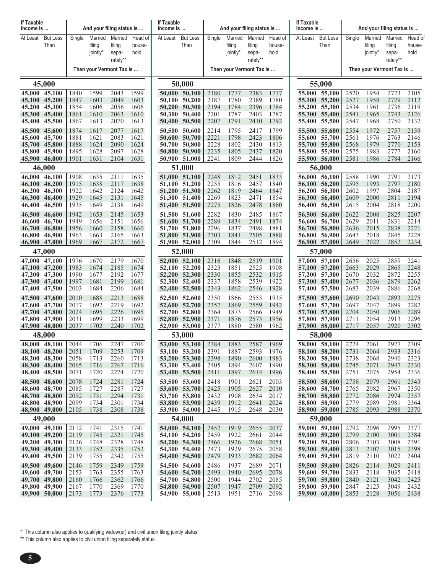| If Taxable<br>Income is        |                         |              |                   | And your filing status is |                   | If Taxable<br>Income is |                                |              | And your filing status is |                   |                   | If Taxable<br>Income is |                                | And your filing status is |                   |                          |                   |
|--------------------------------|-------------------------|--------------|-------------------|---------------------------|-------------------|-------------------------|--------------------------------|--------------|---------------------------|-------------------|-------------------|-------------------------|--------------------------------|---------------------------|-------------------|--------------------------|-------------------|
| At Least                       | <b>But Less</b><br>Than | Single       | Married<br>filing | Married<br>filing         | Head of<br>house- | At Least                | <b>But Less</b><br>Than        | Single       | Married<br>filing         | Married<br>filing | Head of<br>house- | At Least                | <b>But Less</b><br>Than        | Single                    | Married<br>filing | Married<br>filing        | Head of<br>house- |
|                                |                         |              | jointly*          | sepa-                     | hold              |                         |                                |              | jointly*                  | sepa-             | hold              |                         |                                |                           | jointly*          | sepa-                    | hold              |
|                                |                         |              |                   | rately**                  |                   |                         |                                |              |                           | rately**          |                   |                         |                                |                           |                   | rately**                 |                   |
|                                |                         |              |                   | Then your Vermont Tax is  |                   |                         |                                |              | Then your Vermont Tax is  |                   |                   |                         |                                |                           |                   | Then your Vermont Tax is |                   |
|                                | 45,000                  |              |                   |                           |                   |                         | 50,000                         |              |                           |                   |                   |                         | 55,000                         |                           |                   |                          |                   |
| 45,000 45,100                  | 45,100 45,200           | 1840<br>1847 | 1599<br>1603      | 2043<br>2049              | 1599<br>1603      |                         | 50,000 50,100<br>50,100 50,200 | 2180<br>2187 | 1777<br>1780              | 2383<br>2389      | 1777<br>1780      | 55,100                  | 55,000 55,100<br>55,200        | 2520<br>2527              | 1954<br>1958      | 2723<br>2729             | 2105<br>2112      |
| 45,200                         | 45,300                  | 1854         | 1606              | 2056                      | 1606              | 50,200                  | 50,300                         | 2194         | 1784                      | 2396              | 1784              | 55,200                  | 55,300                         | 2534                      | 1961              | 2736                     | 2119              |
| 45,300<br>45,400               | 45,400<br>45,500        | 1861<br>1867 | 1610<br>1613      | 2063<br>2070              | 1610<br>1613      |                         | 50,300 50,400<br>50,400 50,500 | 2201<br>2207 | 1787<br>1791              | 2403<br>2410      | 1787<br>1792      |                         | 55,300 55,400<br>55,400 55,500 | 2541<br>2547              | 1965<br>1968      | 2743<br>2750             | 2126<br>2132      |
| 45,500                         | 45,600                  | 1874         | 1617              | 2077                      | 1617              |                         | 50,500 50,600                  | 2214         | 1795                      | 2417              | 1799              | 55,500                  | 55,600                         | 2554                      | 1972              | 2757                     | 2139              |
| 45,600                         | 45,700                  | 1881         | 1621              | 2083                      | 1621              | 50,600                  | 50,700                         | 2221         | 1798                      | 2423              | 1806              |                         | 55,600 55,700                  | 2561                      | 1976              | 2763                     | 2146              |
| 45,800                         | 45,700 45,800<br>45,900 | 1888<br>1895 | 1624<br>1628      | 2090<br>2097              | 1624<br>1628      |                         | 50,700 50,800<br>50,800 50,900 | 2228<br>2235 | 1802<br>1805              | 2430<br>2437      | 1813<br>1820      | 55,800                  | 55,700 55,800<br>55,900        | 2568<br>2575              | 1979<br>1983      | 2770<br>2777             | 2153<br>2160      |
| 45,900 46,000                  |                         | 1901         | 1631              | 2104                      | 1631              |                         | 50,900 51,000                  | 2241         | 1809                      | 2444              | 1826              |                         | 55,900 56,000                  | 2581                      | 1986              | 2784                     | 2166              |
|                                | 46,000                  | 51,000       |                   |                           |                   |                         |                                |              |                           |                   | 56,000            |                         |                                |                           |                   |                          |                   |
| 46,000<br>46,100               | 46,100<br>46,200        | 1908<br>1915 | 1635<br>1638      | 2111<br>2117              | 1635<br>1638      |                         | 51,000 51,100<br>51,100 51,200 | 2248<br>2255 | 1812<br>1816              | 2451<br>2457      | 1833<br>1840      | 56.100                  | 56,000 56,100<br>56,200        | 2588<br>2595              | 1990<br>1993      | 2791<br>2797             | 2173<br>2180      |
| 46,200                         | 46,300                  | 1922         | 1642              | 2124                      | 1642              |                         | 51,200 51,300                  | 2262         | 1819                      | 2464              | 1847              | 56,200                  | 56,300                         | 2602                      | 1997              | 2804                     | 2187              |
| 46,300                         | 46,400                  | 1929         | 1645              | 2131                      | 1645              |                         | 51,300 51,400                  | 2269         | 1823                      | 2471              | 1854              | 56,300                  | 56,400                         | 2609                      | 2000              | 2811                     | 2194              |
| 46,400                         | 46,500                  | 1935         | 1649              | 2138                      | 1649              |                         | 51,400 51,500                  | 2275         | 1826                      | 2478              | 1860              | 56,400                  | 56,500                         | 2615                      | 2004              | 2818                     | 2200              |
| 46,500<br>46,600               | 46,600<br>46,700        | 1942<br>1949 | 1653<br>1656      | 2145<br>2151              | 1653<br>1656      |                         | 51,500 51,600<br>51,600 51,700 | 2282<br>2289 | 1830<br>1834              | 2485<br>2491      | 1867<br>1874      | 56,500<br>56,600        | 56,600<br>56,700               | 2622<br>2629              | 2008<br>2011      | 2825<br>2831             | 2207<br>2214      |
| 46,700                         | 46,800                  | 1956         | 1660              | 2158                      | 1660              |                         | 51,700 51,800                  | 2296         | 1837                      | 2498              | 1881              | 56,700                  | 56,800                         | 2636                      | 2015              | 2838                     | 2221              |
| 46,800<br>46,900 47,000        | 46,900                  | 1963<br>1969 | 1663<br>1667      | 2165<br>2172              | 1663<br>1667      |                         | 51,800 51,900<br>51,900 52,000 | 2303<br>2309 | 1841<br>1844              | 2505<br>2512      | 1888<br>1894      | 56,800                  | 56,900<br>56,900 57,000        | 2643<br>2649              | 2018<br>2022      | 2845<br>2852             | 2228<br>2234      |
|                                | 47,000                  |              |                   |                           |                   |                         | 52,000                         |              |                           |                   |                   |                         | 57,000                         |                           |                   |                          |                   |
| 47,000                         | 47,100                  | 1976         | 1670              | 2179                      | 1670              |                         | 52,000 52,100                  | 2316         | 1848                      | 2519              | 1901              |                         | 57,000 57,100                  | 2656                      | 2025              | 2859                     | 2241              |
| 47,100 47,200                  |                         | 1983         | 1674              | 2185                      | 1674              |                         | 52,100 52,200                  | 2323         | 1851                      | 2525              | 1908              |                         | 57,100 57,200                  | 2663                      | 2029              | 2865                     | 2248              |
| 47,200<br>47,300 47,400        | 47,300                  | 1990<br>1997 | 1677<br>1681      | 2192<br>2199              | 1677<br>1681      |                         | 52,200 52,300<br>52,300 52,400 | 2330<br>2337 | 1855<br>1858              | 2532<br>2539      | 1915<br>1922      | 57,200                  | 57,300<br>57,300 57,400        | 2670<br>2677              | 2032<br>2036      | 2872<br>2879             | 2255<br>2262      |
| 47,400 47,500                  |                         | 2003         | 1684              | 2206                      | 1684              |                         | 52,400 52,500                  | 2343         | 1862                      | 2546              | 1928              |                         | 57,400 57,500                  | 2683                      | 2039              | 2886                     | 2268              |
| 47,500 47,600                  |                         | 2010         | 1688              | 2213                      | 1688              |                         | 52,500 52,600                  | 2350         | 1866                      | 2553              | 1935              |                         | 57,500 57,600                  | 2690                      | 2043              | 2893                     | 2275              |
| 47,600<br>47,700               | 47,700<br>47,800        | 2017<br>2024 | 1692<br>1695      | 2219<br>2226              | 1692<br>1695      |                         | 52,600 52,700<br>52,700 52,800 | 2357<br>2364 | 1869<br>1873              | 2559<br>2566      | 1942<br>1949      |                         | 57,600 57,700<br>57,700 57,800 | 2697<br>2704              | 2047<br>2050      | 2899<br>2906             | 2282<br>2289      |
| 47,800 47,900                  |                         | 2031         | 1699              | 2233                      | 1699              |                         | 52,800 52,900                  | 2371         | 1876                      | 2573              | 1956              |                         | 57,800 57,900                  | 2711                      | 2054              | 2913                     | 2296              |
| 47,900 48,000                  |                         | 2037         | 1702              | 2240                      | 1702              |                         | 52,900 53,000                  | 2377         | 1880                      | 2580              | 1962              |                         | 57,900 58,000                  | 2717                      | 2057              | 2920                     | 2302              |
| 48,000                         | 48,000<br>48,100        | 2044         | 1706              | 2247                      | 1706              |                         | 53,000<br>53,000 53,100        | 2384         | 1883                      | 2587              | 1969              |                         | 58,000<br>58,000 58,100        | 2724                      | 2061              | 2927                     | 2309              |
| 48,100 48,200                  |                         | 2051         | 1709              | 2253                      | 1709              |                         | 53,100 53,200                  | 2391         | 1887                      | 2593              | 1976              |                         | 58,100 58,200                  | 2731                      | 2064              | 2933                     | 2316              |
| 48,200 48,300                  |                         | 2058         | 1713              | 2260                      | 1713              |                         | 53,200 53,300                  | 2398         | 1890                      | 2600              | 1983              |                         | 58,200 58,300                  | 2738                      | 2068              | 2940                     | 2323              |
| 48,300 48,400<br>48,400 48,500 |                         | 2065<br>2071 | 1716<br>1720      | 2267<br>2274              | 1716<br>1720      |                         | 53,300 53,400<br>53,400 53,500 | 2405<br>2411 | 1894<br>1897              | 2607<br>2614      | 1990<br>1996      |                         | 58,300 58,400<br>58,400 58,500 | 2745<br>2751              | 2071<br>2075      | 2947<br>2954             | 2330<br>2336      |
| 48,500 48,600                  |                         | 2078         | 1724              | 2281                      | 1724              |                         | 53,500 53,600                  | 2418         | 1901                      | 2621              | 2003              |                         | 58,500 58,600                  | 2758                      | 2079              | 2961                     | 2343              |
| 48,600 48,700                  |                         | 2085         | 1727              | 2287                      | 1727              |                         | 53,600 53,700                  | 2425         | 1905                      | 2627              | 2010              |                         | 58,600 58,700                  | 2765                      | 2082              | 2967                     | 2350              |
| 48,700 48,800<br>48,800 48,900 |                         | 2092<br>2099 | 1731<br>1734      | 2294<br>2301              | 1731<br>1734      |                         | 53,700 53,800<br>53,800 53,900 | 2432<br>2439 | 1908<br>1912              | 2634<br>2641      | 2017<br>2024      |                         | 58,700 58,800<br>58,800 58,900 | 2772<br>2779              | 2086<br>2089      | 2974<br>2981             | 2357<br>2364      |
| 48,900 49,000                  |                         | 2105         | 1738              | 2308                      | 1738              |                         | 53,900 54,000                  | 2445         | 1915                      | 2648              | 2030              |                         | 58,900 59,000                  | 2785                      | 2093              | 2988                     | 2370              |
|                                | 49,000                  |              |                   |                           |                   |                         | 54,000                         |              |                           |                   |                   |                         | 59,000                         |                           |                   |                          |                   |
| 49,100 49,200                  | 49,000 49,100           | 2112<br>2119 | 1741<br>1745      | 2315<br>2321              | 1741<br>1745      |                         | 54,000 54,100<br>54,100 54,200 | 2452<br>2459 | 1919<br>1922              | 2655<br>2661      | 2037<br>2044      |                         | 59,000 59,100<br>59,100 59,200 | 2792<br>2799              | 2096<br>2100      | 2995<br>3001             | 2377<br>2384      |
| 49,200 49,300                  |                         | 2126         | 1748              | 2328                      | 1748              |                         | 54,200 54,300                  | 2466         | 1926                      | 2668              | 2051              |                         | 59,200 59,300                  | 2806                      | 2103              | 3008                     | 2391              |
| 49,300 49,400                  |                         | 2133         | 1752              | 2335                      | 1752              |                         | 54,300 54,400                  | 2473         | 1929                      | 2675              | 2058              |                         | 59,300 59,400                  | 2813                      | 2107              | 3015                     | 2398              |
| 49,400 49,500<br>49,500 49,600 |                         | 2139         | 1755              | 2342                      | 1755              |                         | 54,400 54,500                  | 2479         | 1933                      | 2682              | 2064              |                         | 59,400 59,500                  | 2819                      | 2110              | 3022                     | 2404              |
| 49,600 49,700                  |                         | 2146<br>2153 | 1759<br>1763      | 2349<br>2355              | 1759<br>1763      |                         | 54,500 54,600<br>54,600 54,700 | 2486<br>2493 | 1937<br>1940              | 2689<br>2695      | 2071<br>2078      |                         | 59,500 59,600<br>59,600 59,700 | 2826<br>2833              | 2114<br>2118      | 3029<br>3035             | 2411<br>2418      |
| 49,700 49,800                  |                         | 2160         | 1766              | 2362                      | 1766              |                         | 54,700 54,800                  | 2500         | 1944                      | 2702              | 2085              |                         | 59,700 59,800                  | 2840                      | 2121              | 3042                     | 2425              |
| 49,800 49,900                  | 49,900 50,000           | 2167<br>2173 | 1770<br>1773      | 2369<br>2376              | 1770<br>1773      |                         | 54,800 54,900<br>54,900 55,000 | 2507<br>2513 | 1947<br>1951              | 2709<br>2716      | 2092<br>2098      |                         | 59,800 59,900<br>59,900 60,000 | 2847<br>2853              | 2125<br>2128      | 3049<br>3056             | 2432<br>2438      |
|                                |                         |              |                   |                           |                   |                         |                                |              |                           |                   |                   |                         |                                |                           |                   |                          |                   |